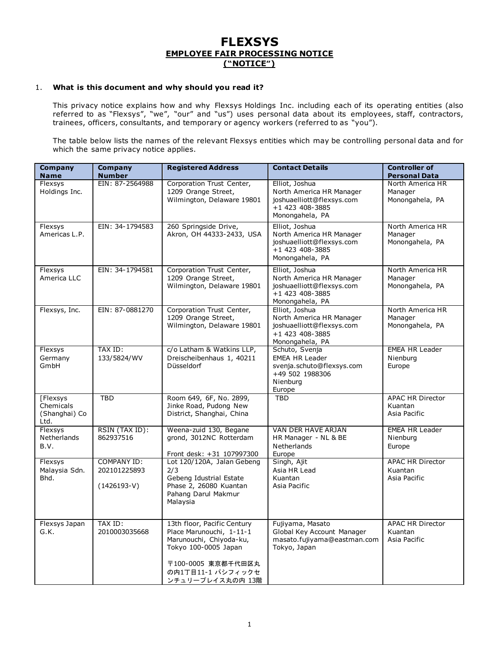# **FLEXSYS EMPLOYEE FAIR PROCESSING NOTICE ("NOTICE")**

## 1. **What is this document and why should you read it?**

This privacy notice explains how and why Flexsys Holdings Inc. including each of its operating entities (also referred to as "Flexsys", "we", "our" and "us") uses personal data about its employees, staff, contractors, trainees, officers, consultants, and temporary or agency workers (referred to as "you").

The table below lists the names of the relevant Flexsys entities which may be controlling personal data and for which the same privacy notice applies.

| Company<br><b>Name</b>                         | <b>Company</b><br><b>Number</b>                     | <b>Registered Address</b>                                                                                                                                                 | <b>Contact Details</b>                                                                                        | <b>Controller of</b><br><b>Personal Data</b>       |
|------------------------------------------------|-----------------------------------------------------|---------------------------------------------------------------------------------------------------------------------------------------------------------------------------|---------------------------------------------------------------------------------------------------------------|----------------------------------------------------|
| Flexsys<br>Holdings Inc.                       | EIN: 87-2564988                                     | Corporation Trust Center,<br>1209 Orange Street,<br>Wilmington, Delaware 19801                                                                                            | Elliot, Joshua<br>North America HR Manager<br>joshuaelliott@flexsys.com<br>+1 423 408-3885<br>Monongahela, PA | North America HR<br>Manager<br>Monongahela, PA     |
| Flexsys<br>Americas L.P.                       | EIN: 34-1794583                                     | 260 Springside Drive,<br>Akron, OH 44333-2433, USA                                                                                                                        | Elliot, Joshua<br>North America HR Manager<br>joshuaelliott@flexsys.com<br>+1 423 408-3885<br>Monongahela, PA | North America HR<br>Manager<br>Monongahela, PA     |
| Flexsys<br>America LLC                         | EIN: 34-1794581                                     | Corporation Trust Center,<br>1209 Orange Street,<br>Wilmington, Delaware 19801                                                                                            | Elliot, Joshua<br>North America HR Manager<br>joshuaelliott@flexsys.com<br>+1 423 408-3885<br>Monongahela, PA | North America HR<br>Manager<br>Monongahela, PA     |
| Flexsys, Inc.                                  | EIN: 87-0881270                                     | Corporation Trust Center,<br>1209 Orange Street,<br>Wilmington, Delaware 19801                                                                                            | Elliot, Joshua<br>North America HR Manager<br>joshuaelliott@flexsys.com<br>+1 423 408-3885<br>Monongahela, PA | North America HR<br>Manager<br>Monongahela, PA     |
| Flexsys<br>Germany<br>GmbH                     | <b>TAX ID:</b><br>133/5824/WV                       | c/o Latham & Watkins LLP,<br>Dreischeibenhaus 1, 40211<br>Düsseldorf                                                                                                      | Schuto, Svenja<br><b>EMEA HR Leader</b><br>svenja.schuto@flexsys.com<br>+49 502 1988306<br>Nienburg<br>Europe | <b>EMEA HR Leader</b><br>Nienburg<br>Europe        |
| [Flexsys<br>Chemicals<br>(Shanghai) Co<br>Ltd. | <b>TBD</b>                                          | Room 649, 6F, No. 2899,<br>Jinke Road, Pudong New<br>District, Shanghai, China                                                                                            | <b>TBD</b>                                                                                                    | <b>APAC HR Director</b><br>Kuantan<br>Asia Pacific |
| Flexsys<br>Netherlands<br>B.V.                 | RSIN (TAX ID):<br>862937516                         | Weena-zuid 130, Begane<br>grond, 3012NC Rotterdam<br>Front desk: +31 107997300                                                                                            | <b>VAN DER HAVE ARJAN</b><br>HR Manager - NL & BE<br>Netherlands<br>Europe                                    | <b>EMEA HR Leader</b><br>Nienburg<br>Europe        |
| Flexsys<br>Malaysia Sdn.<br>Bhd.               | <b>COMPANY ID:</b><br>202101225893<br>$(1426193-V)$ | Lot 120/120A, Jalan Gebeng<br>2/3<br>Gebeng Idustrial Estate<br>Phase 2, 26080 Kuantan<br>Pahang Darul Makmur<br>Malaysia                                                 | Singh, Ajit<br>Asia HR Lead<br>Kuantan<br>Asia Pacific                                                        | <b>APAC HR Director</b><br>Kuantan<br>Asia Pacific |
| Flexsys Japan<br>G.K.                          | TAX ID:<br>2010003035668                            | 13th floor, Pacific Century<br>Place Marunouchi, 1-11-1<br>Marunouchi, Chiyoda-ku,<br>Tokyo 100-0005 Japan<br>〒100-0005 東京都千代田区丸<br>の内1丁目11-1 パシフィックセ<br>ンチュリープレイス丸の内 13階 | Fujiyama, Masato<br>Global Key Account Manager<br>masato.fujiyama@eastman.com<br>Tokyo, Japan                 | <b>APAC HR Director</b><br>Kuantan<br>Asia Pacific |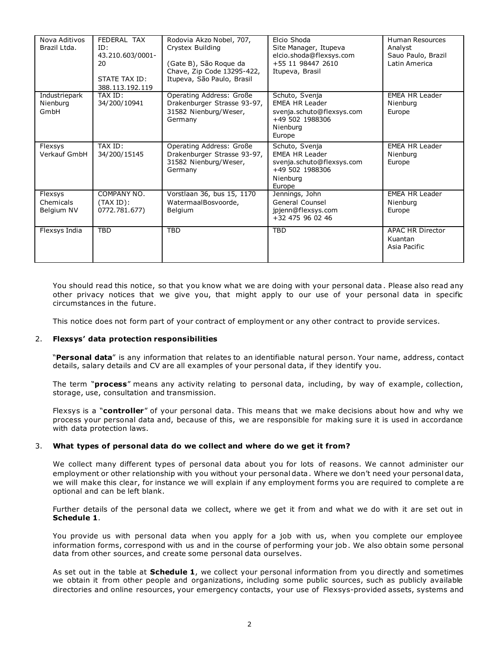| Nova Aditivos<br>Brazil Ltda.      | FEDERAL TAX<br>ID:<br>43.210.603/0001-<br>20<br>STATE TAX ID:<br>388 113 192 119 | Rodovia Akzo Nobel, 707,<br>Crystex Building<br>(Gate B), São Roque da<br>Chave, Zip Code 13295-422,<br>Itupeva, São Paulo, Brasil | Elcio Shoda<br>Site Manager, Itupeva<br>elcio.shoda@flexsys.com<br>+55 11 98447 2610<br>Itupeva, Brasil       | <b>Human Resources</b><br>Analyst<br>Sauo Paulo, Brazil<br>Latin America |
|------------------------------------|----------------------------------------------------------------------------------|------------------------------------------------------------------------------------------------------------------------------------|---------------------------------------------------------------------------------------------------------------|--------------------------------------------------------------------------|
| Industriepark<br>Nienburg<br>GmbH  | TAX ID:<br>34/200/10941                                                          | Operating Address: Große<br>Drakenburger Strasse 93-97,<br>31582 Nienburg/Weser,<br>Germany                                        | Schuto, Svenja<br><b>EMEA HR Leader</b><br>svenja.schuto@flexsys.com<br>+49 502 1988306<br>Nienburg<br>Europe | <b>EMEA HR Leader</b><br>Nienburg<br>Europe                              |
| Flexsys<br>Verkauf GmbH            | TAX ID:<br>34/200/15145                                                          | Operating Address: Große<br>Drakenburger Strasse 93-97,<br>31582 Nienburg/Weser,<br>Germany                                        | Schuto, Svenja<br><b>EMEA HR Leader</b><br>svenja.schuto@flexsys.com<br>+49 502 1988306<br>Nienburg<br>Europe | <b>EMEA HR Leader</b><br>Nienburg<br>Europe                              |
| Flexsys<br>Chemicals<br>Belgium NV | COMPANY NO.<br>(TAX ID):<br>0772.781.677)                                        | Vorstlaan 36, bus 15, 1170<br>WatermaalBosvoorde,<br>Belgium                                                                       | Jennings, John<br>General Counsel<br>jpjenn@flexsys.com<br>+32 475 96 02 46                                   | <b>EMEA HR Leader</b><br>Nienburg<br>Europe                              |
| Flexsys India                      | <b>TBD</b>                                                                       | <b>TBD</b>                                                                                                                         | $\overline{\text{TBD}}$                                                                                       | <b>APAC HR Director</b><br>Kuantan<br>Asia Pacific                       |

You should read this notice, so that you know what we are doing with your personal data . Please also read any other privacy notices that we give you, that might apply to our use of your personal data in specific circumstances in the future.

This notice does not form part of your contract of employment or any other contract to provide services.

#### 2. **Flexsys' data protection responsibilities**

"**Personal data**" is any information that relates to an identifiable natural person. Your name, address, contact details, salary details and CV are all examples of your personal data, if they identify you.

The term "**process**" means any activity relating to personal data, including, by way of example, collection, storage, use, consultation and transmission.

Flexsys is a "**controller**" of your personal data. This means that we make decisions about how and why we process your personal data and, because of this, we are responsible for making sure it is used in accordance with data protection laws.

#### 3. **What types of personal data do we collect and where do we get it from?**

We collect many different types of personal data about you for lots of reasons. We cannot administer our employment or other relationship with you without your personal data. Where we don't need your personal data, we will make this clear, for instance we will explain if any employment forms you are required to complete a re optional and can be left blank.

Further details of the personal data we collect, where we get it from and what we do with it are set out in **Schedule 1**.

You provide us with personal data when you apply for a job with us, when you complete our employee information forms, correspond with us and in the course of performing your job. We also obtain some personal data from other sources, and create some personal data ourselves.

As set out in the table at **Schedule 1**, we collect your personal information from you directly and sometimes we obtain it from other people and organizations, including some public sources, such as publicly available directories and online resources, your emergency contacts, your use of Flexsys-provided assets, systems and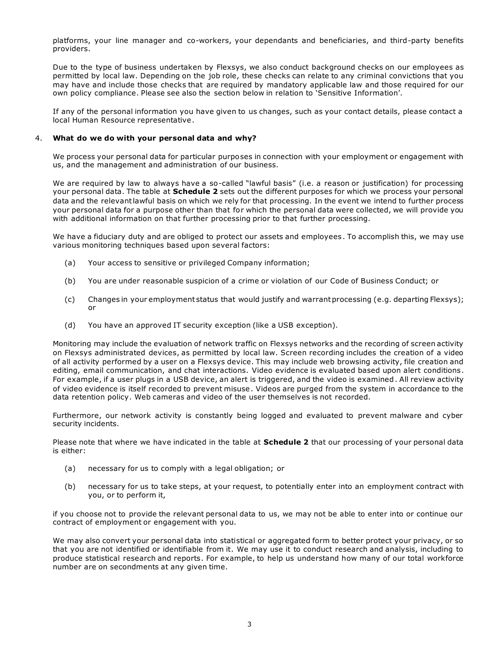platforms, your line manager and co-workers, your dependants and beneficiaries, and third-party benefits providers.

Due to the type of business undertaken by Flexsys, we also conduct background checks on our employees as permitted by local law. Depending on the job role, these checks can relate to any criminal convictions that you may have and include those checks that are required by mandatory applicable law and those required for our own policy compliance. Please see also the section below in relation to 'Sensitive Information'.

If any of the personal information you have given to us changes, such as your contact details, please contact a local Human Resource representative.

#### 4. **What do we do with your personal data and why?**

We process your personal data for particular purposes in connection with your employment or engagement with us, and the management and administration of our business.

We are required by law to always have a so-called "lawful basis" (i.e. a reason or justification) for processing your personal data. The table at **Schedule 2** sets out the different purposes for which we process your personal data and the relevant lawful basis on which we rely for that processing. In the event we intend to further process your personal data for a purpose other than that for which the personal data were collected, we will provide you with additional information on that further processing prior to that further processing.

We have a fiduciary duty and are obliged to protect our assets and employees . To accomplish this, we may use various monitoring techniques based upon several factors:

- (a) Your access to sensitive or privileged Company information;
- (b) You are under reasonable suspicion of a crime or violation of our Code of Business Conduct; or
- (c) Changes in your employment status that would justify and warrant processing (e.g. departing Flexsys); or
- (d) You have an approved IT security exception (like a USB exception).

Monitoring may include the evaluation of network traffic on Flexsys networks and the recording of screen activity on Flexsys administrated devices, as permitted by local law. Screen recording includes the creation of a video of all activity performed by a user on a Flexsys device. This may include web browsing activity, file creation and editing, email communication, and chat interactions. Video evidence is evaluated based upon alert conditions. For example, if a user plugs in a USB device, an alert is triggered, and the video is examined. All review activity of video evidence is itself recorded to prevent misuse. Videos are purged from the system in accordance to the data retention policy. Web cameras and video of the user themselves is not recorded.

Furthermore, our network activity is constantly being logged and evaluated to prevent malware and cyber security incidents.

Please note that where we have indicated in the table at **Schedule 2** that our processing of your personal data is either:

- (a) necessary for us to comply with a legal obligation; or
- (b) necessary for us to take steps, at your request, to potentially enter into an employment contract with you, or to perform it,

if you choose not to provide the relevant personal data to us, we may not be able to enter into or continue our contract of employment or engagement with you.

We may also convert your personal data into statistical or aggregated form to better protect your privacy, or so that you are not identified or identifiable from it. We may use it to conduct research and analysis, including to produce statistical research and reports. For example, to help us understand how many of our total workforce number are on secondments at any given time.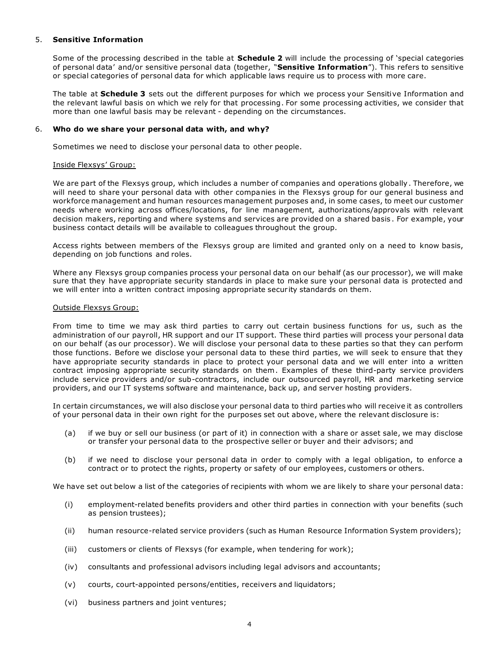#### 5. **Sensitive Information**

Some of the processing described in the table at **Schedule 2** will include the processing of 'special categories of personal data' and/or sensitive personal data (together, "**Sensitive Information**"). This refers to sensitive or special categories of personal data for which applicable laws require us to process with more care.

The table at **Schedule 3** sets out the different purposes for which we process your Sensitive Information and the relevant lawful basis on which we rely for that processing. For some processing activities, we consider that more than one lawful basis may be relevant - depending on the circumstances.

#### 6. **Who do we share your personal data with, and why?**

Sometimes we need to disclose your personal data to other people.

#### Inside Flexsys' Group:

We are part of the Flexsys group, which includes a number of companies and operations globally . Therefore, we will need to share your personal data with other companies in the Flexsys group for our general business and workforce management and human resources management purposes and, in some cases, to meet our customer needs where working across offices/locations, for line management, authorizations/approvals with relevant decision makers, reporting and where systems and services are provided on a shared basis . For example, your business contact details will be available to colleagues throughout the group.

Access rights between members of the Flexsys group are limited and granted only on a need to know basis, depending on job functions and roles.

Where any Flexsys group companies process your personal data on our behalf (as our processor), we will make sure that they have appropriate security standards in place to make sure your personal data is protected and we will enter into a written contract imposing appropriate secur ity standards on them.

#### Outside Flexsys Group:

From time to time we may ask third parties to carry out certain business functions for us, such as the administration of our payroll, HR support and our IT support. These third parties will process your personal data on our behalf (as our processor). We will disclose your personal data to these parties so that they can perform those functions. Before we disclose your personal data to these third parties, we will seek to ensure that they have appropriate security standards in place to protect your personal data and we will enter into a written contract imposing appropriate security standards on them. Examples of these third-party service providers include service providers and/or sub-contractors, include our outsourced payroll, HR and marketing service providers, and our IT systems software and maintenance, back up, and server hosting providers.

In certain circumstances, we will also disclose your personal data to third parties who will receive it as controllers of your personal data in their own right for the purposes set out above, where the relevant disclosure is:

- (a) if we buy or sell our business (or part of it) in connection with a share or asset sale, we may disclose or transfer your personal data to the prospective seller or buyer and their advisors; and
- (b) if we need to disclose your personal data in order to comply with a legal obligation, to enforce a contract or to protect the rights, property or safety of our employees, customers or others.

We have set out below a list of the categories of recipients with whom we are likely to share your personal data:

- (i) employment-related benefits providers and other third parties in connection with your benefits (such as pension trustees);
- (ii) human resource-related service providers (such as Human Resource Information System providers);
- (iii) customers or clients of Flexsys (for example, when tendering for work);
- (iv) consultants and professional advisors including legal advisors and accountants;
- (v) courts, court-appointed persons/entities, receivers and liquidators;
- (vi) business partners and joint ventures;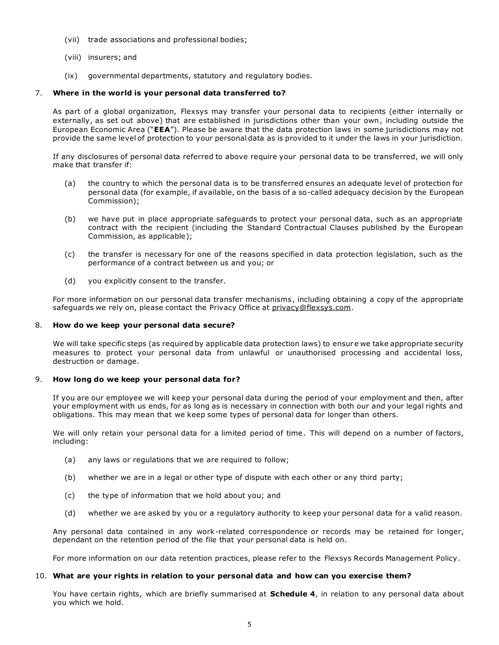- (vii) trade associations and professional bodies;
- (viii) insurers; and
- (ix) governmental departments, statutory and regulatory bodies.

#### 7. **Where in the world is your personal data transferred to?**

As part of a global organization, Flexsys may transfer your personal data to recipients (either internally or externally, as set out above) that are established in jurisdictions other than your own, including outside the European Economic Area ("**EEA**"). Please be aware that the data protection laws in some jurisdictions may not provide the same level of protection to your personal data as is provided to it under the laws in your jurisdiction.

If any disclosures of personal data referred to above require your personal data to be transferred, we will only make that transfer if:

- (a) the country to which the personal data is to be transferred ensures an adequate level of protection for personal data (for example, if available, on the basis of a so-called adequacy decision by the European Commission);
- (b) we have put in place appropriate safeguards to protect your personal data, such as an appropriate contract with the recipient (including the Standard Contractual Clauses published by the European Commission, as applicable);
- (c) the transfer is necessary for one of the reasons specified in data protection legislation, such as the performance of a contract between us and you; or
- (d) you explicitly consent to the transfer.

For more information on our personal data transfer mechanisms, including obtaining a copy of the appropriate safeguards we rely on, please contact the Privacy Office at privacy@flexsys.com.

#### 8. **How do we keep your personal data secure?**

We will take specific steps (as required by applicable data protection laws) to ensure we take appropriate security measures to protect your personal data from unlawful or unauthorised processing and accidental loss, destruction or damage.

#### 9. **How long do we keep your personal data for?**

If you are our employee we will keep your personal data during the period of your employment and then, after your employment with us ends, for as long as is necessary in connection with both our and your legal rights and obligations. This may mean that we keep some types of personal data for longer than others.

We will only retain your personal data for a limited period of time. This will depend on a number of factors, including:

- (a) any laws or regulations that we are required to follow;
- (b) whether we are in a legal or other type of dispute with each other or any third party;
- (c) the type of information that we hold about you; and
- (d) whether we are asked by you or a regulatory authority to keep your personal data for a valid reason.

Any personal data contained in any work-related correspondence or records may be retained for longer, dependant on the retention period of the file that your personal data is held on.

For more information on our data retention practices, please refer to the Flexsys Records Management Policy.

#### 10. **What are your rights in relation to your personal data and how can you exercise them?**

You have certain rights, which are briefly summarised at **Schedule 4**, in relation to any personal data about you which we hold.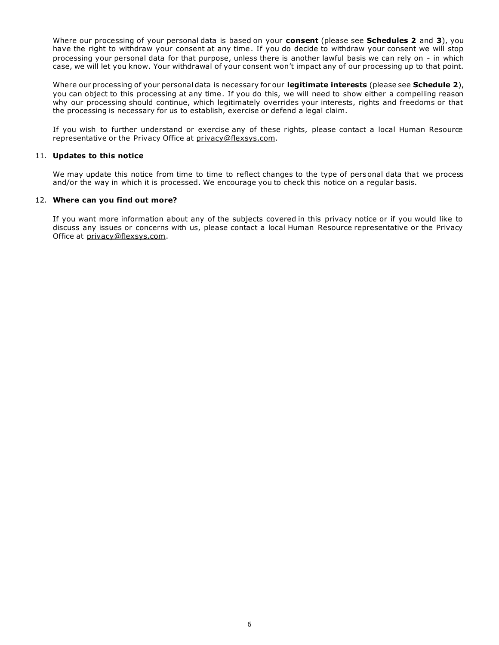Where our processing of your personal data is based on your **consent** (please see **Schedules 2** and **3**), you have the right to withdraw your consent at any time. If you do decide to withdraw your consent we will stop processing your personal data for that purpose, unless there is another lawful basis we can rely on - in which case, we will let you know. Your withdrawal of your consent won't impact any of our processing up to that point.

Where our processing of your personal data is necessary for our **legitimate interests** (please see **Schedule 2**), you can object to this processing at any time. If you do this, we will need to show either a compelling reason why our processing should continue, which legitimately overrides your interests, rights and freedoms or that the processing is necessary for us to establish, exercise or defend a legal claim.

If you wish to further understand or exercise any of these rights, please contact a local Human Resource representative or the Privacy Office at privacy@flexsys.com.

#### 11. **Updates to this notice**

We may update this notice from time to time to reflect changes to the type of personal data that we process and/or the way in which it is processed. We encourage you to check this notice on a regular basis.

#### 12. **Where can you find out more?**

If you want more information about any of the subjects covered in this privacy notice or if you would like to discuss any issues or concerns with us, please contact a local Human Resource representative or the Privacy Office at privacy@flexsys.com.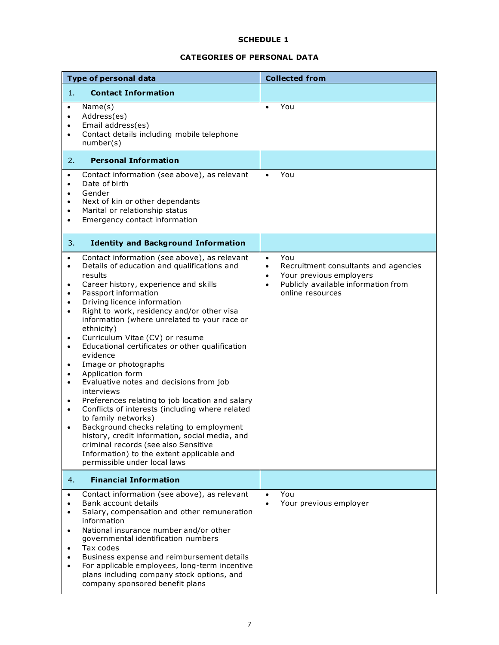# **CATEGORIES OF PERSONAL DATA**

|                                                                                                                                                                                    | <b>Type of personal data</b>                                                                                                                                                                                                                                                                                                                                                                                                                                                                                                                                                                                                                                                                                                                                                                                                                                              |                                                  | <b>Collected from</b>                                                                                                             |
|------------------------------------------------------------------------------------------------------------------------------------------------------------------------------------|---------------------------------------------------------------------------------------------------------------------------------------------------------------------------------------------------------------------------------------------------------------------------------------------------------------------------------------------------------------------------------------------------------------------------------------------------------------------------------------------------------------------------------------------------------------------------------------------------------------------------------------------------------------------------------------------------------------------------------------------------------------------------------------------------------------------------------------------------------------------------|--------------------------------------------------|-----------------------------------------------------------------------------------------------------------------------------------|
| 1.                                                                                                                                                                                 | <b>Contact Information</b>                                                                                                                                                                                                                                                                                                                                                                                                                                                                                                                                                                                                                                                                                                                                                                                                                                                |                                                  |                                                                                                                                   |
| $\bullet$<br>$\bullet$<br>$\bullet$<br>$\bullet$                                                                                                                                   | Name(s)<br>Address(es)<br>Email address(es)<br>Contact details including mobile telephone<br>number(s)                                                                                                                                                                                                                                                                                                                                                                                                                                                                                                                                                                                                                                                                                                                                                                    | $\bullet$                                        | You                                                                                                                               |
| 2.                                                                                                                                                                                 | <b>Personal Information</b>                                                                                                                                                                                                                                                                                                                                                                                                                                                                                                                                                                                                                                                                                                                                                                                                                                               |                                                  |                                                                                                                                   |
| $\bullet$<br>$\bullet$<br>$\bullet$<br>$\bullet$<br>$\bullet$<br>$\bullet$                                                                                                         | Contact information (see above), as relevant<br>Date of birth<br>Gender<br>Next of kin or other dependants<br>Marital or relationship status<br>Emergency contact information                                                                                                                                                                                                                                                                                                                                                                                                                                                                                                                                                                                                                                                                                             | $\bullet$                                        | You                                                                                                                               |
| 3.                                                                                                                                                                                 | <b>Identity and Background Information</b>                                                                                                                                                                                                                                                                                                                                                                                                                                                                                                                                                                                                                                                                                                                                                                                                                                |                                                  |                                                                                                                                   |
| $\bullet$<br>$\bullet$<br>$\bullet$<br>$\bullet$<br>$\bullet$<br>$\bullet$<br>$\bullet$<br>$\bullet$<br>$\bullet$<br>$\bullet$<br>$\bullet$<br>$\bullet$<br>$\bullet$<br>$\bullet$ | Contact information (see above), as relevant<br>Details of education and qualifications and<br>results<br>Career history, experience and skills<br>Passport information<br>Driving licence information<br>Right to work, residency and/or other visa<br>information (where unrelated to your race or<br>ethnicity)<br>Curriculum Vitae (CV) or resume<br>Educational certificates or other qualification<br>evidence<br>Image or photographs<br>Application form<br>Evaluative notes and decisions from job<br>interviews<br>Preferences relating to job location and salary<br>Conflicts of interests (including where related<br>to family networks)<br>Background checks relating to employment<br>history, credit information, social media, and<br>criminal records (see also Sensitive<br>Information) to the extent applicable and<br>permissible under local laws | $\bullet$<br>$\bullet$<br>$\bullet$<br>$\bullet$ | You<br>Recruitment consultants and agencies<br>Your previous employers<br>Publicly available information from<br>online resources |
| 4.                                                                                                                                                                                 | <b>Financial Information</b>                                                                                                                                                                                                                                                                                                                                                                                                                                                                                                                                                                                                                                                                                                                                                                                                                                              |                                                  |                                                                                                                                   |
| $\bullet$<br>$\bullet$<br>$\bullet$<br>$\bullet$<br>$\bullet$<br>$\bullet$                                                                                                         | Contact information (see above), as relevant<br>Bank account details<br>Salary, compensation and other remuneration<br>information<br>National insurance number and/or other<br>governmental identification numbers<br>Tax codes<br>Business expense and reimbursement details<br>For applicable employees, long-term incentive<br>plans including company stock options, and<br>company sponsored benefit plans                                                                                                                                                                                                                                                                                                                                                                                                                                                          | $\bullet$<br>$\bullet$                           | You<br>Your previous employer                                                                                                     |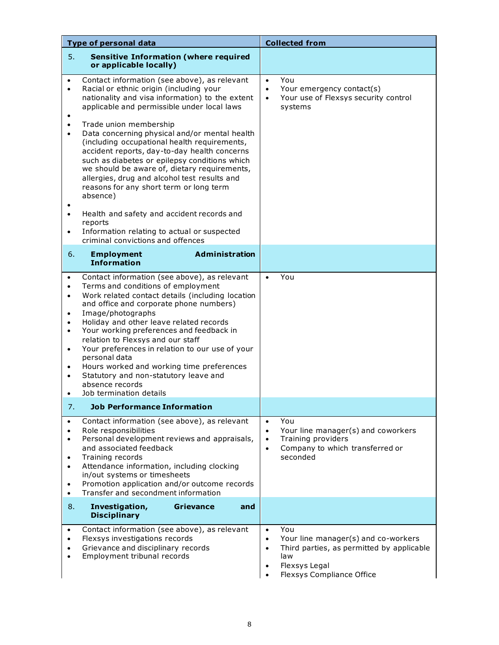|                                                                                                                                | <b>Type of personal data</b>                                                                                                                                                                                                                                                                                                                                                                                                                                                                                                               |                                                               | <b>Collected from</b>                                                                                                                               |
|--------------------------------------------------------------------------------------------------------------------------------|--------------------------------------------------------------------------------------------------------------------------------------------------------------------------------------------------------------------------------------------------------------------------------------------------------------------------------------------------------------------------------------------------------------------------------------------------------------------------------------------------------------------------------------------|---------------------------------------------------------------|-----------------------------------------------------------------------------------------------------------------------------------------------------|
| 5.                                                                                                                             | <b>Sensitive Information (where required</b><br>or applicable locally)                                                                                                                                                                                                                                                                                                                                                                                                                                                                     |                                                               |                                                                                                                                                     |
| $\bullet$<br>$\bullet$<br>٠<br>$\bullet$<br>$\bullet$                                                                          | Contact information (see above), as relevant<br>Racial or ethnic origin (including your<br>nationality and visa information) to the extent<br>applicable and permissible under local laws<br>Trade union membership<br>Data concerning physical and/or mental health<br>(including occupational health requirements,<br>accident reports, day-to-day health concerns<br>such as diabetes or epilepsy conditions which<br>we should be aware of, dietary requirements,                                                                      | $\bullet$<br>$\bullet$<br>$\bullet$                           | You<br>Your emergency contact(s)<br>Your use of Flexsys security control<br>systems                                                                 |
|                                                                                                                                | allergies, drug and alcohol test results and<br>reasons for any short term or long term<br>absence)                                                                                                                                                                                                                                                                                                                                                                                                                                        |                                                               |                                                                                                                                                     |
| $\bullet$<br>$\bullet$                                                                                                         | Health and safety and accident records and<br>reports<br>Information relating to actual or suspected<br>criminal convictions and offences                                                                                                                                                                                                                                                                                                                                                                                                  |                                                               |                                                                                                                                                     |
| 6.                                                                                                                             | <b>Administration</b><br><b>Employment</b><br><b>Information</b>                                                                                                                                                                                                                                                                                                                                                                                                                                                                           |                                                               |                                                                                                                                                     |
| $\bullet$<br>$\bullet$<br>$\bullet$<br>$\bullet$<br>$\bullet$<br>$\bullet$<br>$\bullet$<br>$\bullet$<br>$\bullet$<br>$\bullet$ | Contact information (see above), as relevant<br>Terms and conditions of employment<br>Work related contact details (including location<br>and office and corporate phone numbers)<br>Image/photographs<br>Holiday and other leave related records<br>Your working preferences and feedback in<br>relation to Flexsys and our staff<br>Your preferences in relation to our use of your<br>personal data<br>Hours worked and working time preferences<br>Statutory and non-statutory leave and<br>absence records<br>Job termination details | $\bullet$                                                     | You                                                                                                                                                 |
| 7.                                                                                                                             | <b>Job Performance Information</b>                                                                                                                                                                                                                                                                                                                                                                                                                                                                                                         |                                                               |                                                                                                                                                     |
| $\bullet$<br>٠<br>$\bullet$<br>$\bullet$<br>$\bullet$<br>٠<br>$\bullet$                                                        | Contact information (see above), as relevant<br>Role responsibilities<br>Personal development reviews and appraisals,<br>and associated feedback<br>Training records<br>Attendance information, including clocking<br>in/out systems or timesheets<br>Promotion application and/or outcome records<br>Transfer and secondment information                                                                                                                                                                                                  | $\bullet$<br>$\bullet$<br>$\bullet$<br>$\bullet$              | You<br>Your line manager(s) and coworkers<br>Training providers<br>Company to which transferred or<br>seconded                                      |
| 8.                                                                                                                             | Investigation,<br><b>Grievance</b><br>and<br><b>Disciplinary</b>                                                                                                                                                                                                                                                                                                                                                                                                                                                                           |                                                               |                                                                                                                                                     |
| $\bullet$<br>$\bullet$                                                                                                         | Contact information (see above), as relevant<br>Flexsys investigations records<br>Grievance and disciplinary records<br>Employment tribunal records                                                                                                                                                                                                                                                                                                                                                                                        | $\bullet$<br>$\bullet$<br>$\bullet$<br>$\bullet$<br>$\bullet$ | You<br>Your line manager(s) and co-workers<br>Third parties, as permitted by applicable<br>law<br>Flexsys Legal<br><b>Flexsys Compliance Office</b> |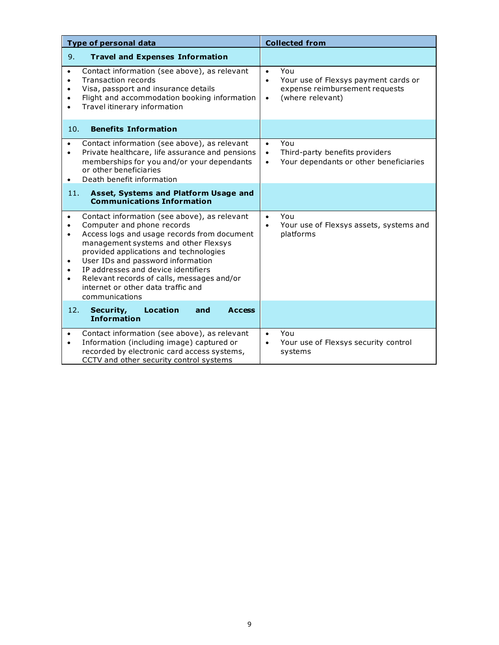| <b>Type of personal data</b>                                                                                                                                                                                                                                                                                                                                                                                                                                                | <b>Collected from</b>                                                                                                                    |
|-----------------------------------------------------------------------------------------------------------------------------------------------------------------------------------------------------------------------------------------------------------------------------------------------------------------------------------------------------------------------------------------------------------------------------------------------------------------------------|------------------------------------------------------------------------------------------------------------------------------------------|
| 9.<br><b>Travel and Expenses Information</b>                                                                                                                                                                                                                                                                                                                                                                                                                                |                                                                                                                                          |
| Contact information (see above), as relevant<br>$\bullet$<br><b>Transaction records</b><br>$\bullet$<br>Visa, passport and insurance details<br>$\bullet$<br>Flight and accommodation booking information<br>$\bullet$<br>Travel itinerary information<br>$\bullet$                                                                                                                                                                                                         | You<br>$\bullet$<br>Your use of Flexsys payment cards or<br>$\bullet$<br>expense reimbursement requests<br>(where relevant)<br>$\bullet$ |
| <b>Benefits Information</b><br>10.                                                                                                                                                                                                                                                                                                                                                                                                                                          |                                                                                                                                          |
| Contact information (see above), as relevant<br>$\bullet$<br>Private healthcare, life assurance and pensions<br>$\bullet$<br>memberships for you and/or your dependants<br>or other beneficiaries<br>Death benefit information<br>$\bullet$                                                                                                                                                                                                                                 | You<br>$\bullet$<br>Third-party benefits providers<br>$\bullet$<br>Your dependants or other beneficiaries<br>$\bullet$                   |
| Asset, Systems and Platform Usage and<br>11.<br><b>Communications Information</b>                                                                                                                                                                                                                                                                                                                                                                                           |                                                                                                                                          |
| Contact information (see above), as relevant<br>$\bullet$<br>Computer and phone records<br>$\bullet$<br>Access logs and usage records from document<br>$\bullet$<br>management systems and other Flexsys<br>provided applications and technologies<br>User IDs and password information<br>$\bullet$<br>IP addresses and device identifiers<br>$\bullet$<br>Relevant records of calls, messages and/or<br>$\bullet$<br>internet or other data traffic and<br>communications | You<br>$\bullet$<br>Your use of Flexsys assets, systems and<br>$\bullet$<br>platforms                                                    |
| <b>Location</b><br>12.<br>Security,<br>and<br><b>Access</b><br><b>Information</b>                                                                                                                                                                                                                                                                                                                                                                                           |                                                                                                                                          |
| Contact information (see above), as relevant<br>$\bullet$<br>Information (including image) captured or<br>$\bullet$<br>recorded by electronic card access systems,<br>CCTV and other security control systems                                                                                                                                                                                                                                                               | You<br>$\bullet$<br>Your use of Flexsys security control<br>$\bullet$<br>systems                                                         |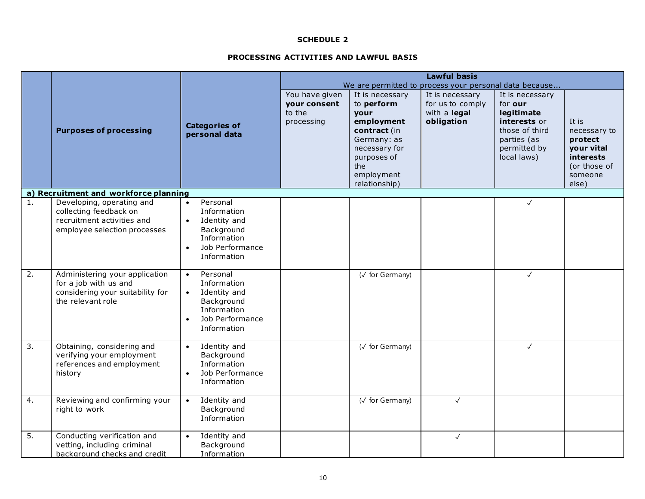## **PROCESSING ACTIVITIES AND LAWFUL BASIS**

|                  |                                                                                                                   |                                                                                                                                               | <b>Lawful basis</b>                                    |                                                                                                                                                          |                                                                   |                                                                                                                          |                                                                                                 |  |
|------------------|-------------------------------------------------------------------------------------------------------------------|-----------------------------------------------------------------------------------------------------------------------------------------------|--------------------------------------------------------|----------------------------------------------------------------------------------------------------------------------------------------------------------|-------------------------------------------------------------------|--------------------------------------------------------------------------------------------------------------------------|-------------------------------------------------------------------------------------------------|--|
|                  |                                                                                                                   |                                                                                                                                               | We are permitted to process your personal data because |                                                                                                                                                          |                                                                   |                                                                                                                          |                                                                                                 |  |
|                  | <b>Purposes of processing</b>                                                                                     | <b>Categories of</b><br>personal data                                                                                                         | You have given<br>your consent<br>to the<br>processing | It is necessary<br>to perform<br>your<br>employment<br>contract (in<br>Germany: as<br>necessary for<br>purposes of<br>the<br>employment<br>relationship) | It is necessary<br>for us to comply<br>with a legal<br>obligation | It is necessary<br>for our<br>legitimate<br>interests or<br>those of third<br>parties (as<br>permitted by<br>local laws) | It is<br>necessary to<br>protect<br>your vital<br>interests<br>(or those of<br>someone<br>else) |  |
|                  | a) Recruitment and workforce planning                                                                             |                                                                                                                                               |                                                        |                                                                                                                                                          |                                                                   |                                                                                                                          |                                                                                                 |  |
| 1.               | Developing, operating and<br>collecting feedback on<br>recruitment activities and<br>employee selection processes | Personal<br>$\bullet$<br>Information<br>Identity and<br>$\bullet$<br>Background<br>Information<br>Job Performance<br>$\bullet$<br>Information |                                                        |                                                                                                                                                          |                                                                   | $\checkmark$                                                                                                             |                                                                                                 |  |
| $\overline{2}$ . | Administering your application<br>for a job with us and<br>considering your suitability for<br>the relevant role  | Personal<br>$\bullet$<br>Information<br>Identity and<br>$\bullet$<br>Background<br>Information<br>Job Performance<br>$\bullet$<br>Information |                                                        | (√ for Germany)                                                                                                                                          |                                                                   | $\checkmark$                                                                                                             |                                                                                                 |  |
| 3.               | Obtaining, considering and<br>verifying your employment<br>references and employment<br>history                   | Identity and<br>$\bullet$<br>Background<br>Information<br>Job Performance<br>$\bullet$<br>Information                                         |                                                        | (V for Germany)                                                                                                                                          |                                                                   | $\checkmark$                                                                                                             |                                                                                                 |  |
| 4.               | Reviewing and confirming your<br>right to work                                                                    | Identity and<br>$\bullet$<br>Background<br>Information                                                                                        |                                                        | $\overline{\left(\sqrt{6}\right)}$ for Germany)                                                                                                          | $\checkmark$                                                      |                                                                                                                          |                                                                                                 |  |
| 5.               | Conducting verification and<br>vetting, including criminal<br>background checks and credit                        | Identity and<br>$\bullet$<br>Background<br>Information                                                                                        |                                                        |                                                                                                                                                          | $\checkmark$                                                      |                                                                                                                          |                                                                                                 |  |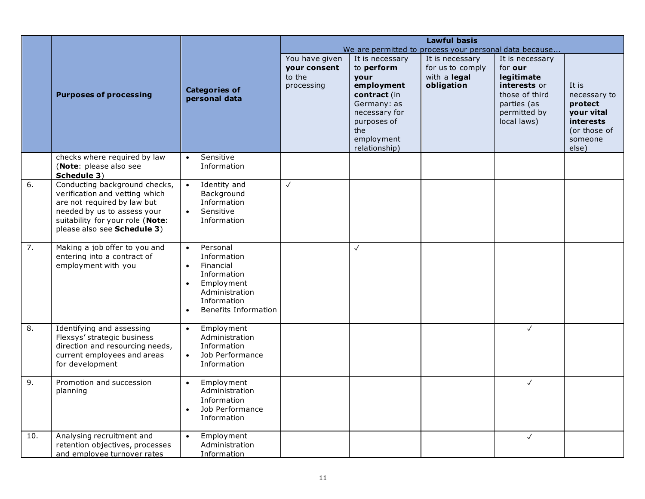|     |                                                                                                                                                                                                  |                                                                                                                                                                                | <b>Lawful basis</b>                                    |                                                                                                                                                          |                                                                   |                                                                                                                          |                                                                                                        |
|-----|--------------------------------------------------------------------------------------------------------------------------------------------------------------------------------------------------|--------------------------------------------------------------------------------------------------------------------------------------------------------------------------------|--------------------------------------------------------|----------------------------------------------------------------------------------------------------------------------------------------------------------|-------------------------------------------------------------------|--------------------------------------------------------------------------------------------------------------------------|--------------------------------------------------------------------------------------------------------|
|     |                                                                                                                                                                                                  |                                                                                                                                                                                |                                                        |                                                                                                                                                          | We are permitted to process your personal data because            |                                                                                                                          |                                                                                                        |
|     | <b>Purposes of processing</b>                                                                                                                                                                    | <b>Categories of</b><br>personal data                                                                                                                                          | You have given<br>your consent<br>to the<br>processing | It is necessary<br>to perform<br>your<br>employment<br>contract (in<br>Germany: as<br>necessary for<br>purposes of<br>the<br>employment<br>relationship) | It is necessary<br>for us to comply<br>with a legal<br>obligation | It is necessary<br>for our<br>legitimate<br>interests or<br>those of third<br>parties (as<br>permitted by<br>local laws) | It is<br>necessary to<br>protect<br>your vital<br><b>interests</b><br>(or those of<br>someone<br>else) |
|     | checks where required by law<br>(Note: please also see<br>Schedule 3)                                                                                                                            | Sensitive<br>$\bullet$<br>Information                                                                                                                                          |                                                        |                                                                                                                                                          |                                                                   |                                                                                                                          |                                                                                                        |
| 6.  | Conducting background checks,<br>verification and vetting which<br>are not required by law but<br>needed by us to assess your<br>suitability for your role (Note:<br>please also see Schedule 3) | Identity and<br>$\bullet$<br>Background<br>Information<br>Sensitive<br>$\bullet$<br>Information                                                                                | $\checkmark$                                           |                                                                                                                                                          |                                                                   |                                                                                                                          |                                                                                                        |
| 7.  | Making a job offer to you and<br>entering into a contract of<br>employment with you                                                                                                              | Personal<br>$\bullet$<br>Information<br>Financial<br>$\bullet$<br>Information<br>Employment<br>$\bullet$<br>Administration<br>Information<br>Benefits Information<br>$\bullet$ |                                                        | $\checkmark$                                                                                                                                             |                                                                   |                                                                                                                          |                                                                                                        |
| 8.  | Identifying and assessing<br>Flexsys' strategic business<br>direction and resourcing needs,<br>current employees and areas<br>for development                                                    | Employment<br>$\bullet$<br>Administration<br>Information<br>Job Performance<br>$\bullet$<br>Information                                                                        |                                                        |                                                                                                                                                          |                                                                   | $\checkmark$                                                                                                             |                                                                                                        |
| 9.  | Promotion and succession<br>planning                                                                                                                                                             | Employment<br>$\bullet$<br>Administration<br>Information<br>Job Performance<br>$\bullet$<br>Information                                                                        |                                                        |                                                                                                                                                          |                                                                   | $\checkmark$                                                                                                             |                                                                                                        |
| 10. | Analysing recruitment and<br>retention objectives, processes<br>and employee turnover rates                                                                                                      | Employment<br>$\bullet$<br>Administration<br>Information                                                                                                                       |                                                        |                                                                                                                                                          |                                                                   | $\checkmark$                                                                                                             |                                                                                                        |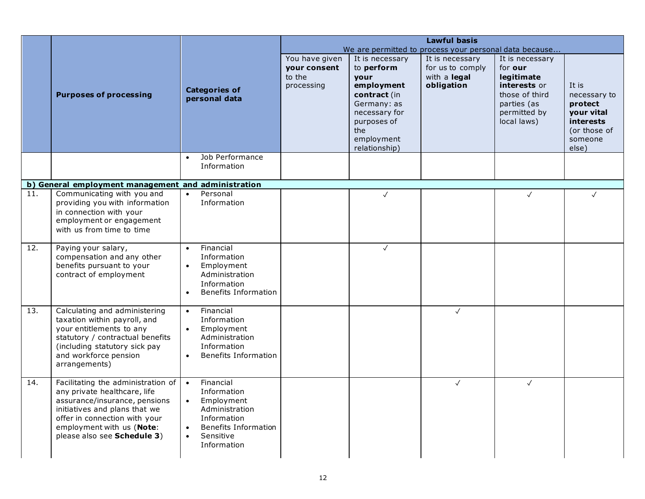|                   |                                                                |                                           | <b>Lawful basis</b>    |                               |                                                        |                            |                                  |
|-------------------|----------------------------------------------------------------|-------------------------------------------|------------------------|-------------------------------|--------------------------------------------------------|----------------------------|----------------------------------|
|                   |                                                                |                                           |                        |                               | We are permitted to process your personal data because |                            |                                  |
|                   |                                                                |                                           | You have given         | It is necessary<br>to perform | It is necessary<br>for us to comply                    | It is necessary<br>for our |                                  |
|                   |                                                                |                                           | your consent<br>to the | your                          | with a legal                                           | legitimate                 |                                  |
|                   |                                                                |                                           | processing             | employment                    | obligation                                             | interests or               | It is                            |
|                   | <b>Purposes of processing</b>                                  | <b>Categories of</b><br>personal data     |                        | contract (in                  |                                                        | those of third             | necessary to                     |
|                   |                                                                |                                           |                        | Germany: as                   |                                                        | parties (as                | protect                          |
|                   |                                                                |                                           |                        | necessary for                 |                                                        | permitted by               | your vital                       |
|                   |                                                                |                                           |                        | purposes of<br>the            |                                                        | local laws)                | <b>interests</b><br>(or those of |
|                   |                                                                |                                           |                        | employment                    |                                                        |                            | someone                          |
|                   |                                                                |                                           |                        | relationship)                 |                                                        |                            | else)                            |
|                   |                                                                | Job Performance<br>$\bullet$              |                        |                               |                                                        |                            |                                  |
|                   |                                                                | Information                               |                        |                               |                                                        |                            |                                  |
|                   | b) General employment management and administration            |                                           |                        |                               |                                                        |                            |                                  |
| $\overline{11}$ . | Communicating with you and                                     | Personal<br>$\bullet$                     |                        | $\checkmark$                  |                                                        | $\checkmark$               | ✓                                |
|                   | providing you with information                                 | Information                               |                        |                               |                                                        |                            |                                  |
|                   | in connection with your                                        |                                           |                        |                               |                                                        |                            |                                  |
|                   | employment or engagement<br>with us from time to time          |                                           |                        |                               |                                                        |                            |                                  |
|                   |                                                                |                                           |                        |                               |                                                        |                            |                                  |
| 12.               | Paying your salary,                                            | Financial<br>$\bullet$                    |                        | $\checkmark$                  |                                                        |                            |                                  |
|                   | compensation and any other                                     | Information                               |                        |                               |                                                        |                            |                                  |
|                   | benefits pursuant to your<br>contract of employment            | Employment<br>$\bullet$<br>Administration |                        |                               |                                                        |                            |                                  |
|                   |                                                                | Information                               |                        |                               |                                                        |                            |                                  |
|                   |                                                                | <b>Benefits Information</b><br>$\bullet$  |                        |                               |                                                        |                            |                                  |
| 13.               | Calculating and administering                                  | Financial                                 |                        |                               |                                                        |                            |                                  |
|                   | taxation within payroll, and                                   | $\bullet$<br>Information                  |                        |                               | $\checkmark$                                           |                            |                                  |
|                   | your entitlements to any                                       | Employment<br>$\bullet$                   |                        |                               |                                                        |                            |                                  |
|                   | statutory / contractual benefits                               | Administration                            |                        |                               |                                                        |                            |                                  |
|                   | (including statutory sick pay                                  | Information                               |                        |                               |                                                        |                            |                                  |
|                   | and workforce pension<br>arrangements)                         | <b>Benefits Information</b><br>$\bullet$  |                        |                               |                                                        |                            |                                  |
|                   |                                                                |                                           |                        |                               |                                                        |                            |                                  |
| 14.               | Facilitating the administration of                             | Financial<br>$\bullet$                    |                        |                               | $\checkmark$                                           | $\checkmark$               |                                  |
|                   | any private healthcare, life                                   | Information                               |                        |                               |                                                        |                            |                                  |
|                   | assurance/insurance, pensions<br>initiatives and plans that we | Employment<br>$\bullet$<br>Administration |                        |                               |                                                        |                            |                                  |
|                   | offer in connection with your                                  | Information                               |                        |                               |                                                        |                            |                                  |
|                   | employment with us (Note:                                      | <b>Benefits Information</b><br>$\bullet$  |                        |                               |                                                        |                            |                                  |
|                   | please also see Schedule 3)                                    | Sensitive<br>$\bullet$                    |                        |                               |                                                        |                            |                                  |
|                   |                                                                | Information                               |                        |                               |                                                        |                            |                                  |
|                   |                                                                |                                           |                        |                               |                                                        |                            |                                  |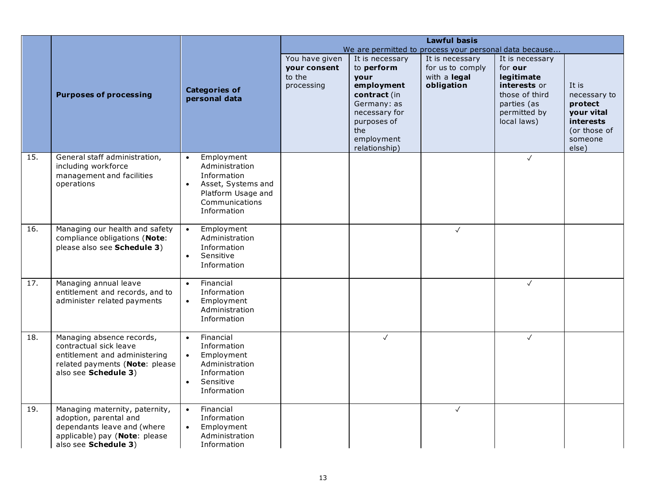|     |                                                                                                                                                  |                                                                                                                                                    |                                                        |                                                                                                                                                                 | <b>Lawful basis</b>                                                                                                         |                                                                                                                          |                                                                                                        |
|-----|--------------------------------------------------------------------------------------------------------------------------------------------------|----------------------------------------------------------------------------------------------------------------------------------------------------|--------------------------------------------------------|-----------------------------------------------------------------------------------------------------------------------------------------------------------------|-----------------------------------------------------------------------------------------------------------------------------|--------------------------------------------------------------------------------------------------------------------------|--------------------------------------------------------------------------------------------------------|
|     | <b>Purposes of processing</b>                                                                                                                    | <b>Categories of</b><br>personal data                                                                                                              | You have given<br>your consent<br>to the<br>processing | It is necessary<br>to perform<br><b>vour</b><br>employment<br>contract (in<br>Germany: as<br>necessary for<br>purposes of<br>the<br>employment<br>relationship) | We are permitted to process your personal data because<br>It is necessary<br>for us to comply<br>with a legal<br>obligation | It is necessary<br>for our<br>legitimate<br>interests or<br>those of third<br>parties (as<br>permitted by<br>local laws) | It is<br>necessary to<br>protect<br>your vital<br><b>interests</b><br>(or those of<br>someone<br>else) |
| 15. | General staff administration,<br>including workforce<br>management and facilities<br>operations                                                  | Employment<br>$\bullet$<br>Administration<br>Information<br>Asset, Systems and<br>$\bullet$<br>Platform Usage and<br>Communications<br>Information |                                                        |                                                                                                                                                                 |                                                                                                                             | $\checkmark$                                                                                                             |                                                                                                        |
| 16. | Managing our health and safety<br>compliance obligations (Note:<br>please also see Schedule 3)                                                   | Employment<br>$\bullet$<br>Administration<br>Information<br>Sensitive<br>$\bullet$<br>Information                                                  |                                                        |                                                                                                                                                                 | $\sqrt{}$                                                                                                                   |                                                                                                                          |                                                                                                        |
| 17. | Managing annual leave<br>entitlement and records, and to<br>administer related payments                                                          | Financial<br>$\bullet$<br>Information<br>Employment<br>$\bullet$<br>Administration<br>Information                                                  |                                                        |                                                                                                                                                                 |                                                                                                                             | $\sqrt{ }$                                                                                                               |                                                                                                        |
| 18. | Managing absence records,<br>contractual sick leave<br>entitlement and administering<br>related payments (Note: please<br>also see Schedule 3)   | Financial<br>$\bullet$<br>Information<br>Employment<br>$\bullet$<br>Administration<br>Information<br>Sensitive<br>$\bullet$<br>Information         |                                                        | $\checkmark$                                                                                                                                                    |                                                                                                                             | $\checkmark$                                                                                                             |                                                                                                        |
| 19. | Managing maternity, paternity,<br>adoption, parental and<br>dependants leave and (where<br>applicable) pay (Note: please<br>also see Schedule 3) | Financial<br>$\bullet$<br>Information<br>Employment<br>$\bullet$<br>Administration<br>Information                                                  |                                                        |                                                                                                                                                                 | $\checkmark$                                                                                                                |                                                                                                                          |                                                                                                        |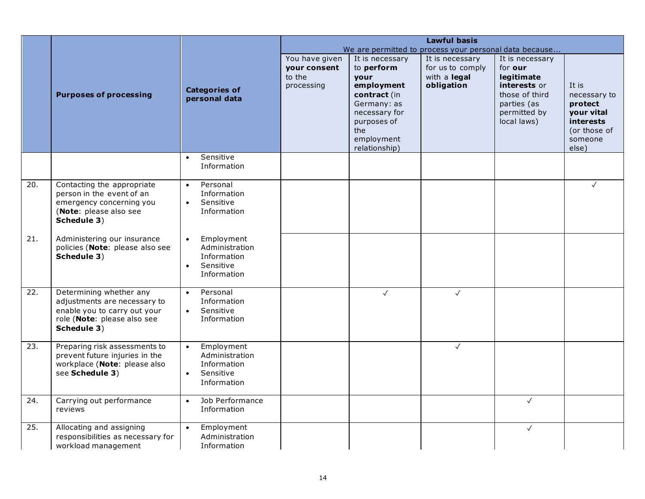|     |                                                                 |                                           |                |                             | <b>Lawful basis</b>                                    |                             |                       |
|-----|-----------------------------------------------------------------|-------------------------------------------|----------------|-----------------------------|--------------------------------------------------------|-----------------------------|-----------------------|
|     |                                                                 |                                           |                |                             | We are permitted to process your personal data because |                             |                       |
|     |                                                                 |                                           | You have given | It is necessary             | It is necessary                                        | It is necessary             |                       |
|     |                                                                 |                                           | your consent   | to perform                  | for us to comply                                       | for our                     |                       |
|     |                                                                 |                                           | to the         | your                        | with a legal                                           | legitimate                  |                       |
|     |                                                                 | <b>Categories of</b>                      | processing     | employment                  | obligation                                             | interests or                | It is                 |
|     | <b>Purposes of processing</b>                                   | personal data                             |                | contract (in<br>Germany: as |                                                        | those of third              | necessary to          |
|     |                                                                 |                                           |                | necessary for               |                                                        | parties (as<br>permitted by | protect<br>your vital |
|     |                                                                 |                                           |                | purposes of                 |                                                        | local laws)                 | <b>interests</b>      |
|     |                                                                 |                                           |                | the                         |                                                        |                             | (or those of          |
|     |                                                                 |                                           |                | employment                  |                                                        |                             | someone               |
|     |                                                                 |                                           |                | relationship)               |                                                        |                             | else)                 |
|     |                                                                 | Sensitive<br>$\bullet$                    |                |                             |                                                        |                             |                       |
|     |                                                                 | Information                               |                |                             |                                                        |                             |                       |
| 20. | Contacting the appropriate                                      | Personal<br>$\bullet$                     |                |                             |                                                        |                             | $\checkmark$          |
|     | person in the event of an                                       | Information                               |                |                             |                                                        |                             |                       |
|     | emergency concerning you<br>(Note: please also see              | Sensitive<br>$\bullet$<br>Information     |                |                             |                                                        |                             |                       |
|     | Schedule 3)                                                     |                                           |                |                             |                                                        |                             |                       |
|     |                                                                 |                                           |                |                             |                                                        |                             |                       |
| 21. | Administering our insurance                                     | Employment<br>$\bullet$                   |                |                             |                                                        |                             |                       |
|     | policies (Note: please also see                                 | Administration                            |                |                             |                                                        |                             |                       |
|     | Schedule 3)                                                     | Information<br>Sensitive<br>$\bullet$     |                |                             |                                                        |                             |                       |
|     |                                                                 | Information                               |                |                             |                                                        |                             |                       |
|     |                                                                 |                                           |                |                             |                                                        |                             |                       |
| 22. | Determining whether any                                         | Personal<br>$\bullet$                     |                | $\checkmark$                | $\checkmark$                                           |                             |                       |
|     | adjustments are necessary to<br>enable you to carry out your    | Information<br>Sensitive<br>$\bullet$     |                |                             |                                                        |                             |                       |
|     | role (Note: please also see                                     | Information                               |                |                             |                                                        |                             |                       |
|     | Schedule 3)                                                     |                                           |                |                             |                                                        |                             |                       |
|     |                                                                 |                                           |                |                             |                                                        |                             |                       |
| 23. | Preparing risk assessments to<br>prevent future injuries in the | Employment<br>$\bullet$<br>Administration |                |                             | $\checkmark$                                           |                             |                       |
|     | workplace (Note: please also                                    | Information                               |                |                             |                                                        |                             |                       |
|     | see Schedule 3)                                                 | Sensitive<br>$\bullet$                    |                |                             |                                                        |                             |                       |
|     |                                                                 | Information                               |                |                             |                                                        |                             |                       |
| 24. | Carrying out performance                                        | Job Performance<br>$\bullet$              |                |                             |                                                        | $\checkmark$                |                       |
|     | reviews                                                         | Information                               |                |                             |                                                        |                             |                       |
| 25. | Allocating and assigning                                        | Employment<br>$\bullet$                   |                |                             |                                                        | $\checkmark$                |                       |
|     | responsibilities as necessary for                               | Administration                            |                |                             |                                                        |                             |                       |
|     | workload management                                             | Information                               |                |                             |                                                        |                             |                       |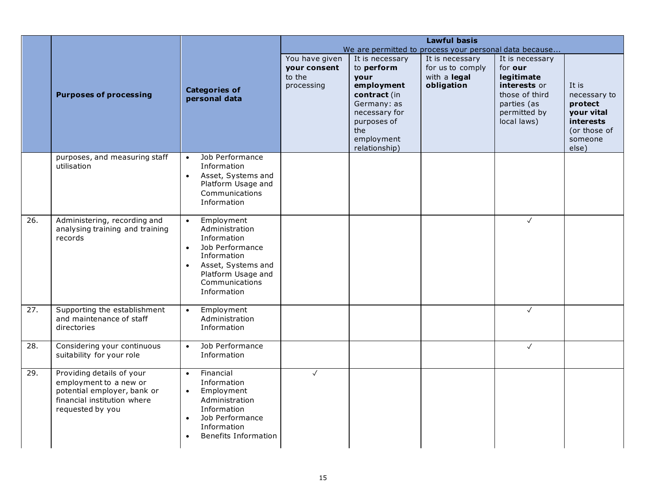|                   |                                                                                                                                       |                                                                                                                                                                                                   | <b>Lawful basis</b>                                           |                                                                                                                                                          |                                                                   |                                                                                                                          |                                                                                                 |
|-------------------|---------------------------------------------------------------------------------------------------------------------------------------|---------------------------------------------------------------------------------------------------------------------------------------------------------------------------------------------------|---------------------------------------------------------------|----------------------------------------------------------------------------------------------------------------------------------------------------------|-------------------------------------------------------------------|--------------------------------------------------------------------------------------------------------------------------|-------------------------------------------------------------------------------------------------|
|                   |                                                                                                                                       |                                                                                                                                                                                                   |                                                               |                                                                                                                                                          | We are permitted to process your personal data because            |                                                                                                                          |                                                                                                 |
|                   | <b>Purposes of processing</b>                                                                                                         | <b>Categories of</b><br>personal data                                                                                                                                                             | You have given<br><b>your consent</b><br>to the<br>processing | It is necessary<br>to perform<br>vour<br>employment<br>contract (in<br>Germany: as<br>necessary for<br>purposes of<br>the<br>employment<br>relationship) | It is necessary<br>for us to comply<br>with a legal<br>obligation | It is necessary<br>for our<br>legitimate<br>interests or<br>those of third<br>parties (as<br>permitted by<br>local laws) | It is<br>necessary to<br>protect<br>your vital<br>interests<br>(or those of<br>someone<br>else) |
|                   | purposes, and measuring staff<br>utilisation                                                                                          | Job Performance<br>$\bullet$<br>Information<br>Asset, Systems and<br>$\bullet$<br>Platform Usage and<br>Communications<br>Information                                                             |                                                               |                                                                                                                                                          |                                                                   |                                                                                                                          |                                                                                                 |
| 26.               | Administering, recording and<br>analysing training and training<br>records                                                            | Employment<br>$\bullet$<br>Administration<br>Information<br>Job Performance<br>$\bullet$<br>Information<br>Asset, Systems and<br>$\bullet$<br>Platform Usage and<br>Communications<br>Information |                                                               |                                                                                                                                                          |                                                                   | $\checkmark$                                                                                                             |                                                                                                 |
| $\overline{27}$ . | Supporting the establishment<br>and maintenance of staff<br>directories                                                               | Employment<br>$\bullet$<br>Administration<br>Information                                                                                                                                          |                                                               |                                                                                                                                                          |                                                                   | $\checkmark$                                                                                                             |                                                                                                 |
| 28.               | Considering your continuous<br>suitability for your role                                                                              | Job Performance<br>$\bullet$<br>Information                                                                                                                                                       |                                                               |                                                                                                                                                          |                                                                   | $\checkmark$                                                                                                             |                                                                                                 |
| 29.               | Providing details of your<br>employment to a new or<br>potential employer, bank or<br>financial institution where<br>requested by you | Financial<br>$\bullet$<br>Information<br>Employment<br>$\bullet$<br>Administration<br>Information<br>Job Performance<br>$\bullet$<br>Information<br><b>Benefits Information</b><br>$\bullet$      | $\checkmark$                                                  |                                                                                                                                                          |                                                                   |                                                                                                                          |                                                                                                 |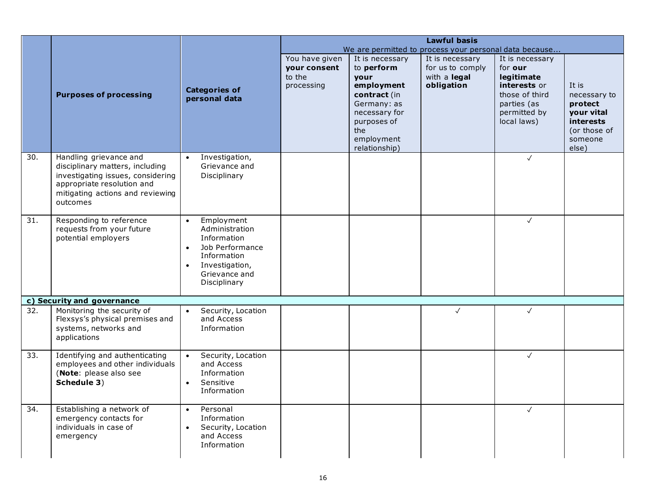|     |                                                                                                                                                                              |                                                                                                                                                                         | <b>Lawful basis</b>                                    |                                                                                                            |                                                                   |                                                                                                           |                                                |
|-----|------------------------------------------------------------------------------------------------------------------------------------------------------------------------------|-------------------------------------------------------------------------------------------------------------------------------------------------------------------------|--------------------------------------------------------|------------------------------------------------------------------------------------------------------------|-------------------------------------------------------------------|-----------------------------------------------------------------------------------------------------------|------------------------------------------------|
|     |                                                                                                                                                                              |                                                                                                                                                                         |                                                        |                                                                                                            | We are permitted to process your personal data because            |                                                                                                           |                                                |
|     | <b>Purposes of processing</b>                                                                                                                                                | <b>Categories of</b><br>personal data                                                                                                                                   | You have given<br>your consent<br>to the<br>processing | It is necessary<br>to perform<br><b>vour</b><br>employment<br>contract (in<br>Germany: as<br>necessary for | It is necessary<br>for us to comply<br>with a legal<br>obligation | It is necessary<br>for our<br>legitimate<br>interests or<br>those of third<br>parties (as<br>permitted by | It is<br>necessary to<br>protect<br>your vital |
|     |                                                                                                                                                                              |                                                                                                                                                                         |                                                        | purposes of<br>the<br>employment<br>relationship)                                                          |                                                                   | local laws)                                                                                               | interests<br>(or those of<br>someone<br>else)  |
| 30. | Handling grievance and<br>disciplinary matters, including<br>investigating issues, considering<br>appropriate resolution and<br>mitigating actions and reviewing<br>outcomes | Investigation,<br>$\bullet$<br>Grievance and<br>Disciplinary                                                                                                            |                                                        |                                                                                                            |                                                                   | $\checkmark$                                                                                              |                                                |
| 31. | Responding to reference<br>requests from your future<br>potential employers                                                                                                  | Employment<br>$\bullet$<br>Administration<br>Information<br>Job Performance<br>$\bullet$<br>Information<br>Investigation,<br>$\bullet$<br>Grievance and<br>Disciplinary |                                                        |                                                                                                            |                                                                   | $\checkmark$                                                                                              |                                                |
|     | c) Security and governance                                                                                                                                                   |                                                                                                                                                                         |                                                        |                                                                                                            |                                                                   |                                                                                                           |                                                |
| 32. | Monitoring the security of<br>Flexsys's physical premises and<br>systems, networks and<br>applications                                                                       | Security, Location<br>$\bullet$<br>and Access<br>Information                                                                                                            |                                                        |                                                                                                            | $\checkmark$                                                      | $\checkmark$                                                                                              |                                                |
| 33. | Identifying and authenticating<br>employees and other individuals<br>(Note: please also see<br>Schedule 3)                                                                   | Security, Location<br>and Access<br>Information<br>Sensitive<br>Information                                                                                             |                                                        |                                                                                                            |                                                                   | $\checkmark$                                                                                              |                                                |
| 34. | Establishing a network of<br>emergency contacts for<br>individuals in case of<br>emergency                                                                                   | Personal<br>$\bullet$<br>Information<br>Security, Location<br>$\bullet$<br>and Access<br>Information                                                                    |                                                        |                                                                                                            |                                                                   | $\sqrt{ }$                                                                                                |                                                |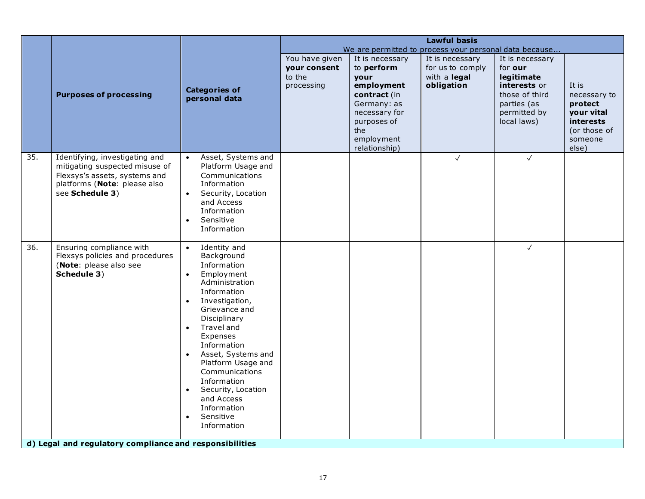|     |                                                                                                                                                                 |                                                                                                                                                                                                                                                                                                                                                                                                                                             |                                                        |                                                                                                                                                          | <b>Lawful basis</b>                                               |                                                                                                                          |                                                                                                 |
|-----|-----------------------------------------------------------------------------------------------------------------------------------------------------------------|---------------------------------------------------------------------------------------------------------------------------------------------------------------------------------------------------------------------------------------------------------------------------------------------------------------------------------------------------------------------------------------------------------------------------------------------|--------------------------------------------------------|----------------------------------------------------------------------------------------------------------------------------------------------------------|-------------------------------------------------------------------|--------------------------------------------------------------------------------------------------------------------------|-------------------------------------------------------------------------------------------------|
|     |                                                                                                                                                                 |                                                                                                                                                                                                                                                                                                                                                                                                                                             |                                                        |                                                                                                                                                          | We are permitted to process your personal data because            |                                                                                                                          |                                                                                                 |
|     | <b>Purposes of processing</b>                                                                                                                                   | <b>Categories of</b><br>personal data                                                                                                                                                                                                                                                                                                                                                                                                       | You have given<br>your consent<br>to the<br>processing | It is necessary<br>to perform<br>your<br>employment<br>contract (in<br>Germany: as<br>necessary for<br>purposes of<br>the<br>employment<br>relationship) | It is necessary<br>for us to comply<br>with a legal<br>obligation | It is necessary<br>for our<br>legitimate<br>interests or<br>those of third<br>parties (as<br>permitted by<br>local laws) | It is<br>necessary to<br>protect<br>your vital<br>interests<br>(or those of<br>someone<br>else) |
| 35. | Identifying, investigating and<br>mitigating suspected misuse of<br>Flexsys's assets, systems and<br>platforms (Note: please also<br>see Schedule 3)            | Asset, Systems and<br>$\bullet$<br>Platform Usage and<br>Communications<br>Information<br>Security, Location<br>$\bullet$<br>and Access<br>Information<br>Sensitive<br>$\bullet$<br>Information                                                                                                                                                                                                                                             |                                                        |                                                                                                                                                          | $\checkmark$                                                      | $\checkmark$                                                                                                             |                                                                                                 |
| 36. | Ensuring compliance with<br>Flexsys policies and procedures<br>(Note: please also see<br>Schedule 3)<br>d) Legal and regulatory compliance and responsibilities | Identity and<br>$\bullet$<br>Background<br>Information<br>Employment<br>$\bullet$<br>Administration<br>Information<br>Investigation,<br>$\bullet$<br>Grievance and<br>Disciplinary<br>Travel and<br>$\bullet$<br>Expenses<br>Information<br>Asset, Systems and<br>$\bullet$<br>Platform Usage and<br>Communications<br>Information<br>Security, Location<br>$\bullet$<br>and Access<br>Information<br>Sensitive<br>$\bullet$<br>Information |                                                        |                                                                                                                                                          |                                                                   | $\sqrt{ }$                                                                                                               |                                                                                                 |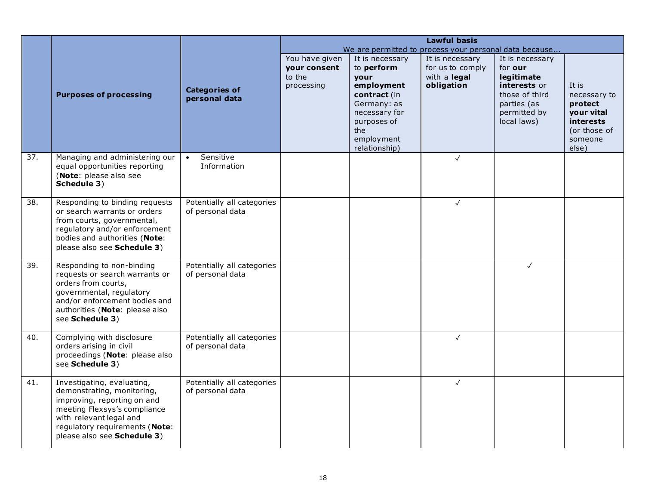|     |                                                                                                                                                                                                                     |                                                |                                                        |                                                                                                                                                          | <b>Lawful basis</b><br>We are permitted to process your personal data because |                                                                                                                          |                                                                                                        |
|-----|---------------------------------------------------------------------------------------------------------------------------------------------------------------------------------------------------------------------|------------------------------------------------|--------------------------------------------------------|----------------------------------------------------------------------------------------------------------------------------------------------------------|-------------------------------------------------------------------------------|--------------------------------------------------------------------------------------------------------------------------|--------------------------------------------------------------------------------------------------------|
|     | <b>Purposes of processing</b>                                                                                                                                                                                       | <b>Categories of</b><br>personal data          | You have given<br>your consent<br>to the<br>processing | It is necessary<br>to perform<br>vour<br>employment<br>contract (in<br>Germany: as<br>necessary for<br>purposes of<br>the<br>employment<br>relationship) | It is necessary<br>for us to comply<br>with a legal<br>obligation             | It is necessary<br>for our<br>legitimate<br>interests or<br>those of third<br>parties (as<br>permitted by<br>local laws) | It is<br>necessary to<br>protect<br>your vital<br><i>interests</i><br>(or those of<br>someone<br>else) |
| 37. | Managing and administering our<br>equal opportunities reporting<br>(Note: please also see<br>Schedule 3)                                                                                                            | Sensitive<br>$\bullet$<br>Information          |                                                        |                                                                                                                                                          | $\checkmark$                                                                  |                                                                                                                          |                                                                                                        |
| 38. | Responding to binding requests<br>or search warrants or orders<br>from courts, governmental,<br>regulatory and/or enforcement<br>bodies and authorities (Note:<br>please also see Schedule 3)                       | Potentially all categories<br>of personal data |                                                        |                                                                                                                                                          | $\checkmark$                                                                  |                                                                                                                          |                                                                                                        |
| 39. | Responding to non-binding<br>requests or search warrants or<br>orders from courts,<br>governmental, regulatory<br>and/or enforcement bodies and<br>authorities (Note: please also<br>see Schedule 3)                | Potentially all categories<br>of personal data |                                                        |                                                                                                                                                          |                                                                               | $\checkmark$                                                                                                             |                                                                                                        |
| 40. | Complying with disclosure<br>orders arising in civil<br>proceedings (Note: please also<br>see Schedule 3)                                                                                                           | Potentially all categories<br>of personal data |                                                        |                                                                                                                                                          | $\checkmark$                                                                  |                                                                                                                          |                                                                                                        |
| 41. | Investigating, evaluating,<br>demonstrating, monitoring,<br>improving, reporting on and<br>meeting Flexsys's compliance<br>with relevant legal and<br>regulatory requirements (Note:<br>please also see Schedule 3) | Potentially all categories<br>of personal data |                                                        |                                                                                                                                                          | $\checkmark$                                                                  |                                                                                                                          |                                                                                                        |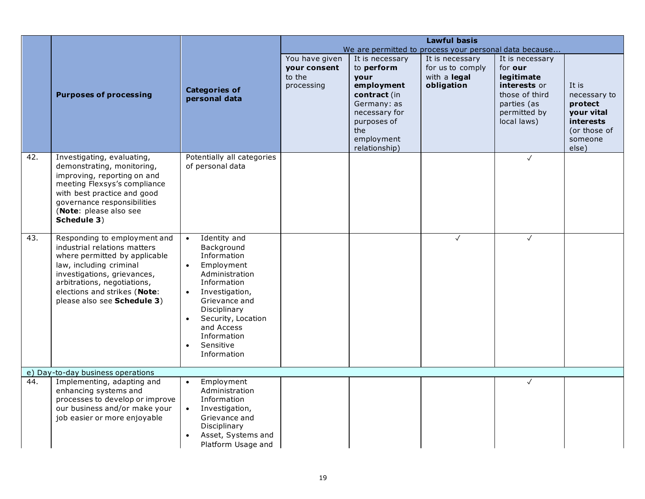|     |                                                                                                                                                                                                                                                       |                                                                                                                                                                                                                                                                                             |                                                               |                                                                                                                                                          | <b>Lawful basis</b>                                                                                                         |                                                                                                                          |                                                                                                        |
|-----|-------------------------------------------------------------------------------------------------------------------------------------------------------------------------------------------------------------------------------------------------------|---------------------------------------------------------------------------------------------------------------------------------------------------------------------------------------------------------------------------------------------------------------------------------------------|---------------------------------------------------------------|----------------------------------------------------------------------------------------------------------------------------------------------------------|-----------------------------------------------------------------------------------------------------------------------------|--------------------------------------------------------------------------------------------------------------------------|--------------------------------------------------------------------------------------------------------|
|     | <b>Purposes of processing</b>                                                                                                                                                                                                                         | <b>Categories of</b><br>personal data                                                                                                                                                                                                                                                       | You have given<br><b>your consent</b><br>to the<br>processing | It is necessary<br>to perform<br>your<br>employment<br>contract (in<br>Germany: as<br>necessary for<br>purposes of<br>the<br>employment<br>relationship) | We are permitted to process your personal data because<br>It is necessary<br>for us to comply<br>with a legal<br>obligation | It is necessary<br>for our<br>legitimate<br>interests or<br>those of third<br>parties (as<br>permitted by<br>local laws) | It is<br>necessary to<br>protect<br>your vital<br><b>interests</b><br>(or those of<br>someone<br>else) |
| 42. | Investigating, evaluating,<br>demonstrating, monitoring,<br>improving, reporting on and<br>meeting Flexsys's compliance<br>with best practice and good<br>governance responsibilities<br>(Note: please also see<br>Schedule 3)                        | Potentially all categories<br>of personal data                                                                                                                                                                                                                                              |                                                               |                                                                                                                                                          |                                                                                                                             | $\checkmark$                                                                                                             |                                                                                                        |
| 43. | Responding to employment and<br>industrial relations matters<br>where permitted by applicable<br>law, including criminal<br>investigations, grievances,<br>arbitrations, negotiations,<br>elections and strikes (Note:<br>please also see Schedule 3) | Identity and<br>$\bullet$<br>Background<br>Information<br>Employment<br>$\bullet$<br>Administration<br>Information<br>Investigation,<br>$\bullet$<br>Grievance and<br>Disciplinary<br>Security, Location<br>$\bullet$<br>and Access<br>Information<br>Sensitive<br>$\bullet$<br>Information |                                                               |                                                                                                                                                          | $\checkmark$                                                                                                                | $\checkmark$                                                                                                             |                                                                                                        |
| 44. | e) Day-to-day business operations<br>Implementing, adapting and                                                                                                                                                                                       | Employment<br>$\bullet$                                                                                                                                                                                                                                                                     |                                                               |                                                                                                                                                          |                                                                                                                             | $\checkmark$                                                                                                             |                                                                                                        |
|     | enhancing systems and<br>processes to develop or improve<br>our business and/or make your<br>job easier or more enjoyable                                                                                                                             | Administration<br>Information<br>Investigation,<br>$\bullet$<br>Grievance and<br>Disciplinary<br>Asset, Systems and<br>$\bullet$<br>Platform Usage and                                                                                                                                      |                                                               |                                                                                                                                                          |                                                                                                                             |                                                                                                                          |                                                                                                        |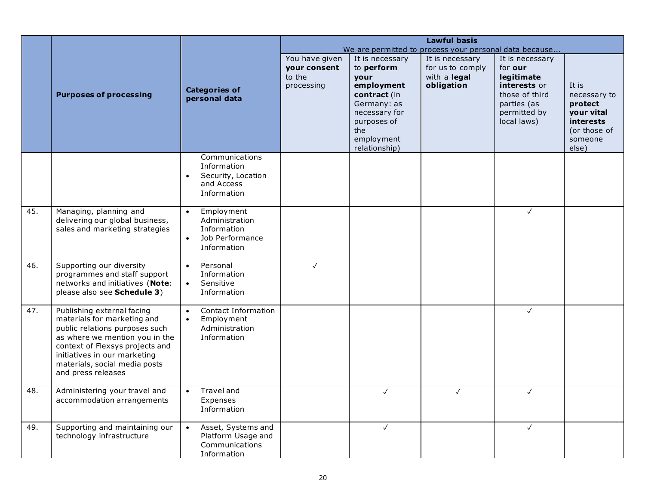|     |                                                                   |                                           |                        |                    | <b>Lawful basis</b>                                    |                       |                                  |
|-----|-------------------------------------------------------------------|-------------------------------------------|------------------------|--------------------|--------------------------------------------------------|-----------------------|----------------------------------|
|     |                                                                   |                                           |                        |                    | We are permitted to process your personal data because |                       |                                  |
|     |                                                                   |                                           | You have given         | It is necessary    | It is necessary                                        | It is necessary       |                                  |
|     |                                                                   |                                           | your consent<br>to the | to perform<br>your | for us to comply<br>with a legal                       | for our<br>legitimate |                                  |
|     |                                                                   |                                           | processing             | employment         | obligation                                             | interests or          | It is                            |
|     | <b>Purposes of processing</b>                                     | <b>Categories of</b><br>personal data     |                        | contract (in       |                                                        | those of third        | necessary to                     |
|     |                                                                   |                                           |                        | Germany: as        |                                                        | parties (as           | protect                          |
|     |                                                                   |                                           |                        | necessary for      |                                                        | permitted by          | your vital                       |
|     |                                                                   |                                           |                        | purposes of<br>the |                                                        | local laws)           | <i>interests</i><br>(or those of |
|     |                                                                   |                                           |                        | employment         |                                                        |                       | someone                          |
|     |                                                                   |                                           |                        | relationship)      |                                                        |                       | else)                            |
|     |                                                                   | Communications                            |                        |                    |                                                        |                       |                                  |
|     |                                                                   | Information<br>Security, Location         |                        |                    |                                                        |                       |                                  |
|     |                                                                   | and Access                                |                        |                    |                                                        |                       |                                  |
|     |                                                                   | Information                               |                        |                    |                                                        |                       |                                  |
|     |                                                                   |                                           |                        |                    |                                                        |                       |                                  |
| 45. | Managing, planning and                                            | Employment<br>$\bullet$<br>Administration |                        |                    |                                                        | $\checkmark$          |                                  |
|     | delivering our global business,<br>sales and marketing strategies | Information                               |                        |                    |                                                        |                       |                                  |
|     |                                                                   | Job Performance<br>$\bullet$              |                        |                    |                                                        |                       |                                  |
|     |                                                                   | Information                               |                        |                    |                                                        |                       |                                  |
| 46. |                                                                   |                                           | $\checkmark$           |                    |                                                        |                       |                                  |
|     | Supporting our diversity<br>programmes and staff support          | Personal<br>$\bullet$<br>Information      |                        |                    |                                                        |                       |                                  |
|     | networks and initiatives (Note:                                   | Sensitive<br>$\bullet$                    |                        |                    |                                                        |                       |                                  |
|     | please also see Schedule 3)                                       | Information                               |                        |                    |                                                        |                       |                                  |
| 47. | Publishing external facing                                        | <b>Contact Information</b><br>$\bullet$   |                        |                    |                                                        | $\sqrt{}$             |                                  |
|     | materials for marketing and                                       | Employment<br>$\bullet$                   |                        |                    |                                                        |                       |                                  |
|     | public relations purposes such                                    | Administration                            |                        |                    |                                                        |                       |                                  |
|     | as where we mention you in the                                    | Information                               |                        |                    |                                                        |                       |                                  |
|     | context of Flexsys projects and<br>initiatives in our marketing   |                                           |                        |                    |                                                        |                       |                                  |
|     | materials, social media posts                                     |                                           |                        |                    |                                                        |                       |                                  |
|     | and press releases                                                |                                           |                        |                    |                                                        |                       |                                  |
|     |                                                                   |                                           |                        |                    |                                                        |                       |                                  |
| 48. | Administering your travel and<br>accommodation arrangements       | Travel and<br>$\bullet$<br>Expenses       |                        | $\checkmark$       | $\checkmark$                                           | $\sqrt{}$             |                                  |
|     |                                                                   | Information                               |                        |                    |                                                        |                       |                                  |
|     |                                                                   |                                           |                        |                    |                                                        |                       |                                  |
| 49. | Supporting and maintaining our                                    | Asset, Systems and<br>$\bullet$           |                        | $\checkmark$       |                                                        | $\checkmark$          |                                  |
|     | technology infrastructure                                         | Platform Usage and<br>Communications      |                        |                    |                                                        |                       |                                  |
|     |                                                                   | Information                               |                        |                    |                                                        |                       |                                  |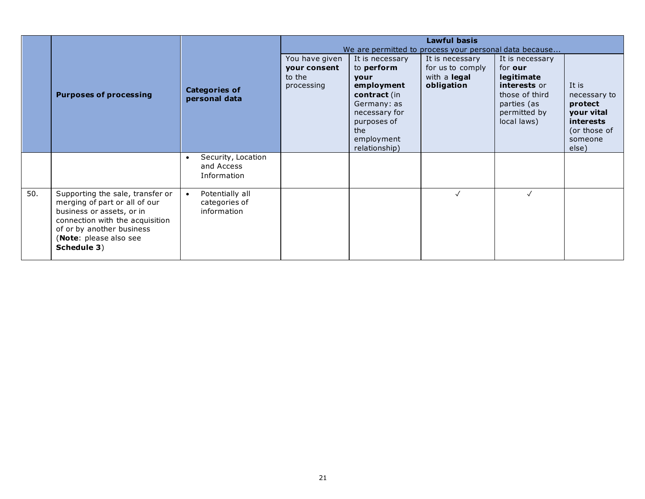|     |                                                                                                                                                                                                         |                                                              |                                                        |                                                                                                                                                                 | <b>Lawful basis</b><br>We are permitted to process your personal data because |                                                                                                                          |                                                                                                        |
|-----|---------------------------------------------------------------------------------------------------------------------------------------------------------------------------------------------------------|--------------------------------------------------------------|--------------------------------------------------------|-----------------------------------------------------------------------------------------------------------------------------------------------------------------|-------------------------------------------------------------------------------|--------------------------------------------------------------------------------------------------------------------------|--------------------------------------------------------------------------------------------------------|
|     | <b>Purposes of processing</b>                                                                                                                                                                           | <b>Categories of</b><br>personal data                        | You have given<br>your consent<br>to the<br>processing | It is necessary<br>to perform<br><b>vour</b><br>employment<br>contract (in<br>Germany: as<br>necessary for<br>purposes of<br>the<br>employment<br>relationship) | It is necessary<br>for us to comply<br>with a <b>legal</b><br>obligation      | It is necessary<br>for our<br>legitimate<br>interests or<br>those of third<br>parties (as<br>permitted by<br>local laws) | It is<br>necessary to<br>protect<br>your vital<br><b>interests</b><br>(or those of<br>someone<br>else) |
|     |                                                                                                                                                                                                         | Security, Location<br>$\bullet$<br>and Access<br>Information |                                                        |                                                                                                                                                                 |                                                                               |                                                                                                                          |                                                                                                        |
| 50. | Supporting the sale, transfer or<br>merging of part or all of our<br>business or assets, or in<br>connection with the acquisition<br>of or by another business<br>(Note: please also see<br>Schedule 3) | Potentially all<br>categories of<br>information              |                                                        |                                                                                                                                                                 | $\checkmark$                                                                  |                                                                                                                          |                                                                                                        |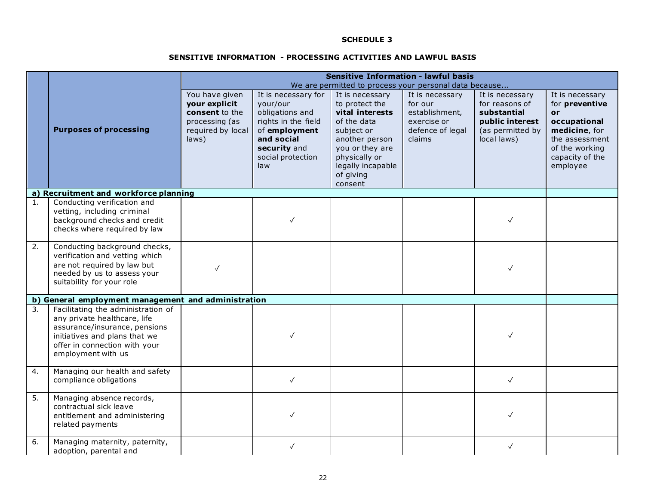#### **SENSITIVE INFORMATION - PROCESSING ACTIVITIES AND LAWFUL BASIS**

|                  |                                                                                                                                                                                             |                                                                                                   | <b>Sensitive Information - lawful basis</b><br>We are permitted to process your personal data because                                                |                                                                                                                                                                                      |                                                                                           |                                                                                                        |                                                                                                                                                    |
|------------------|---------------------------------------------------------------------------------------------------------------------------------------------------------------------------------------------|---------------------------------------------------------------------------------------------------|------------------------------------------------------------------------------------------------------------------------------------------------------|--------------------------------------------------------------------------------------------------------------------------------------------------------------------------------------|-------------------------------------------------------------------------------------------|--------------------------------------------------------------------------------------------------------|----------------------------------------------------------------------------------------------------------------------------------------------------|
|                  | <b>Purposes of processing</b>                                                                                                                                                               | You have given<br>your explicit<br>consent to the<br>processing (as<br>required by local<br>laws) | It is necessary for<br>your/our<br>obligations and<br>rights in the field<br>of employment<br>and social<br>security and<br>social protection<br>law | It is necessary<br>to protect the<br>vital interests<br>of the data<br>subject or<br>another person<br>you or they are<br>physically or<br>legally incapable<br>of giving<br>consent | It is necessary<br>for our<br>establishment,<br>exercise or<br>defence of legal<br>claims | It is necessary<br>for reasons of<br>substantial<br>public interest<br>(as permitted by<br>local laws) | It is necessary<br>for preventive<br><b>or</b><br>occupational<br>medicine, for<br>the assessment<br>of the working<br>capacity of the<br>employee |
|                  | a) Recruitment and workforce planning                                                                                                                                                       |                                                                                                   |                                                                                                                                                      |                                                                                                                                                                                      |                                                                                           |                                                                                                        |                                                                                                                                                    |
| 1.               | Conducting verification and<br>vetting, including criminal<br>background checks and credit<br>checks where required by law                                                                  |                                                                                                   |                                                                                                                                                      |                                                                                                                                                                                      |                                                                                           |                                                                                                        |                                                                                                                                                    |
| $\overline{2}$ . | Conducting background checks,<br>verification and vetting which<br>are not required by law but<br>needed by us to assess your<br>suitability for your role                                  |                                                                                                   |                                                                                                                                                      |                                                                                                                                                                                      |                                                                                           |                                                                                                        |                                                                                                                                                    |
|                  | b) General employment management and administration                                                                                                                                         |                                                                                                   |                                                                                                                                                      |                                                                                                                                                                                      |                                                                                           |                                                                                                        |                                                                                                                                                    |
| 3.               | Facilitating the administration of<br>any private healthcare, life<br>assurance/insurance, pensions<br>initiatives and plans that we<br>offer in connection with your<br>employment with us |                                                                                                   |                                                                                                                                                      |                                                                                                                                                                                      |                                                                                           |                                                                                                        |                                                                                                                                                    |
| 4.               | Managing our health and safety<br>compliance obligations                                                                                                                                    |                                                                                                   | $\checkmark$                                                                                                                                         |                                                                                                                                                                                      |                                                                                           | $\checkmark$                                                                                           |                                                                                                                                                    |
| 5.               | Managing absence records,<br>contractual sick leave<br>entitlement and administering<br>related payments                                                                                    |                                                                                                   |                                                                                                                                                      |                                                                                                                                                                                      |                                                                                           |                                                                                                        |                                                                                                                                                    |
| 6.               | Managing maternity, paternity,<br>adoption, parental and                                                                                                                                    |                                                                                                   | $\checkmark$                                                                                                                                         |                                                                                                                                                                                      |                                                                                           | $\checkmark$                                                                                           |                                                                                                                                                    |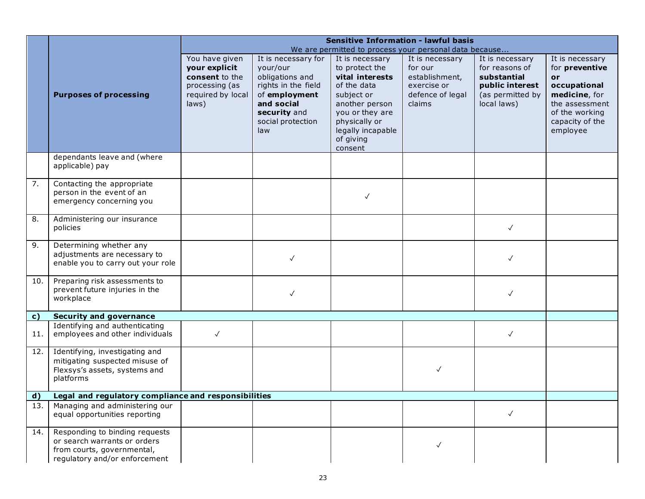|              |                                                                                                                               |                                                                                                   | <b>Sensitive Information - lawful basis</b>                                                              |                                                                                                     |                                                                                           |                                                                                                        |                                                                                            |
|--------------|-------------------------------------------------------------------------------------------------------------------------------|---------------------------------------------------------------------------------------------------|----------------------------------------------------------------------------------------------------------|-----------------------------------------------------------------------------------------------------|-------------------------------------------------------------------------------------------|--------------------------------------------------------------------------------------------------------|--------------------------------------------------------------------------------------------|
|              |                                                                                                                               |                                                                                                   |                                                                                                          |                                                                                                     | We are permitted to process your personal data because                                    |                                                                                                        |                                                                                            |
|              | <b>Purposes of processing</b>                                                                                                 | You have given<br>your explicit<br>consent to the<br>processing (as<br>required by local<br>laws) | It is necessary for<br>your/our<br>obligations and<br>rights in the field<br>of employment<br>and social | It is necessary<br>to protect the<br>vital interests<br>of the data<br>subject or<br>another person | It is necessary<br>for our<br>establishment,<br>exercise or<br>defence of legal<br>claims | It is necessary<br>for reasons of<br>substantial<br>public interest<br>(as permitted by<br>local laws) | It is necessary<br>for preventive<br>or<br>occupational<br>medicine, for<br>the assessment |
|              |                                                                                                                               |                                                                                                   | security and<br>social protection<br>law                                                                 | you or they are<br>physically or<br>legally incapable<br>of giving<br>consent                       |                                                                                           |                                                                                                        | of the working<br>capacity of the<br>employee                                              |
|              | dependants leave and (where<br>applicable) pay                                                                                |                                                                                                   |                                                                                                          |                                                                                                     |                                                                                           |                                                                                                        |                                                                                            |
| 7.           | Contacting the appropriate<br>person in the event of an<br>emergency concerning you                                           |                                                                                                   |                                                                                                          | $\checkmark$                                                                                        |                                                                                           |                                                                                                        |                                                                                            |
| 8.           | Administering our insurance<br>policies                                                                                       |                                                                                                   |                                                                                                          |                                                                                                     |                                                                                           | $\checkmark$                                                                                           |                                                                                            |
| 9.           | Determining whether any<br>adjustments are necessary to<br>enable you to carry out your role                                  |                                                                                                   | $\checkmark$                                                                                             |                                                                                                     |                                                                                           | $\checkmark$                                                                                           |                                                                                            |
| 10.          | Preparing risk assessments to<br>prevent future injuries in the<br>workplace                                                  |                                                                                                   | $\checkmark$                                                                                             |                                                                                                     |                                                                                           | $\checkmark$                                                                                           |                                                                                            |
| $\mathbf{c}$ | <b>Security and governance</b>                                                                                                |                                                                                                   |                                                                                                          |                                                                                                     |                                                                                           |                                                                                                        |                                                                                            |
| 11.          | Identifying and authenticating<br>employees and other individuals                                                             | $\checkmark$                                                                                      |                                                                                                          |                                                                                                     |                                                                                           | $\checkmark$                                                                                           |                                                                                            |
| 12.          | Identifying, investigating and<br>mitigating suspected misuse of<br>Flexsys's assets, systems and<br>platforms                |                                                                                                   |                                                                                                          |                                                                                                     | $\checkmark$                                                                              |                                                                                                        |                                                                                            |
| $\mathbf{d}$ | Legal and regulatory compliance and responsibilities                                                                          |                                                                                                   |                                                                                                          |                                                                                                     |                                                                                           |                                                                                                        |                                                                                            |
| 13.          | Managing and administering our<br>equal opportunities reporting                                                               |                                                                                                   |                                                                                                          |                                                                                                     |                                                                                           | $\checkmark$                                                                                           |                                                                                            |
| 14.          | Responding to binding requests<br>or search warrants or orders<br>from courts, governmental,<br>regulatory and/or enforcement |                                                                                                   |                                                                                                          |                                                                                                     | $\checkmark$                                                                              |                                                                                                        |                                                                                            |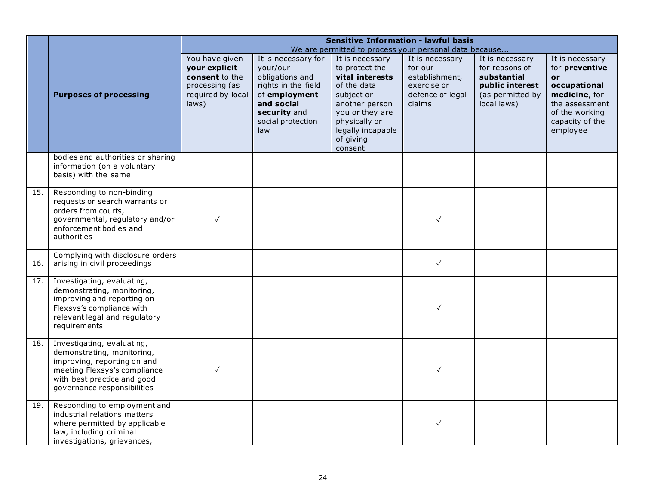|      |                                                                                                                                                                                       |                                                                                                   |                                                                                                                                                      |                                                                                                                                                                           | <b>Sensitive Information - lawful basis</b>                                                                                                         |                                                                                                        |                                                                                                                                             |
|------|---------------------------------------------------------------------------------------------------------------------------------------------------------------------------------------|---------------------------------------------------------------------------------------------------|------------------------------------------------------------------------------------------------------------------------------------------------------|---------------------------------------------------------------------------------------------------------------------------------------------------------------------------|-----------------------------------------------------------------------------------------------------------------------------------------------------|--------------------------------------------------------------------------------------------------------|---------------------------------------------------------------------------------------------------------------------------------------------|
|      | <b>Purposes of processing</b>                                                                                                                                                         | You have given<br>your explicit<br>consent to the<br>processing (as<br>required by local<br>laws) | It is necessary for<br>your/our<br>obligations and<br>rights in the field<br>of employment<br>and social<br>security and<br>social protection<br>law | It is necessary<br>to protect the<br>vital interests<br>of the data<br>subject or<br>another person<br>you or they are<br>physically or<br>legally incapable<br>of giving | We are permitted to process your personal data because<br>It is necessary<br>for our<br>establishment,<br>exercise or<br>defence of legal<br>claims | It is necessary<br>for reasons of<br>substantial<br>public interest<br>(as permitted by<br>local laws) | It is necessary<br>for preventive<br>or<br>occupational<br>medicine, for<br>the assessment<br>of the working<br>capacity of the<br>employee |
|      | bodies and authorities or sharing<br>information (on a voluntary<br>basis) with the same                                                                                              |                                                                                                   |                                                                                                                                                      | consent                                                                                                                                                                   |                                                                                                                                                     |                                                                                                        |                                                                                                                                             |
| 15.  | Responding to non-binding<br>requests or search warrants or<br>orders from courts,<br>governmental, regulatory and/or<br>enforcement bodies and<br>authorities                        | √                                                                                                 |                                                                                                                                                      |                                                                                                                                                                           |                                                                                                                                                     |                                                                                                        |                                                                                                                                             |
| 16.  | Complying with disclosure orders<br>arising in civil proceedings                                                                                                                      |                                                                                                   |                                                                                                                                                      |                                                                                                                                                                           | $\checkmark$                                                                                                                                        |                                                                                                        |                                                                                                                                             |
| 17.1 | Investigating, evaluating,<br>demonstrating, monitoring,<br>improving and reporting on<br>Flexsys's compliance with<br>relevant legal and regulatory<br>requirements                  |                                                                                                   |                                                                                                                                                      |                                                                                                                                                                           |                                                                                                                                                     |                                                                                                        |                                                                                                                                             |
| 18.  | Investigating, evaluating,<br>demonstrating, monitoring,<br>improving, reporting on and<br>meeting Flexsys's compliance<br>with best practice and good<br>governance responsibilities | $\checkmark$                                                                                      |                                                                                                                                                      |                                                                                                                                                                           | $\checkmark$                                                                                                                                        |                                                                                                        |                                                                                                                                             |
| 19.  | Responding to employment and<br>industrial relations matters<br>where permitted by applicable<br>law, including criminal<br>investigations, grievances,                               |                                                                                                   |                                                                                                                                                      |                                                                                                                                                                           | $\checkmark$                                                                                                                                        |                                                                                                        |                                                                                                                                             |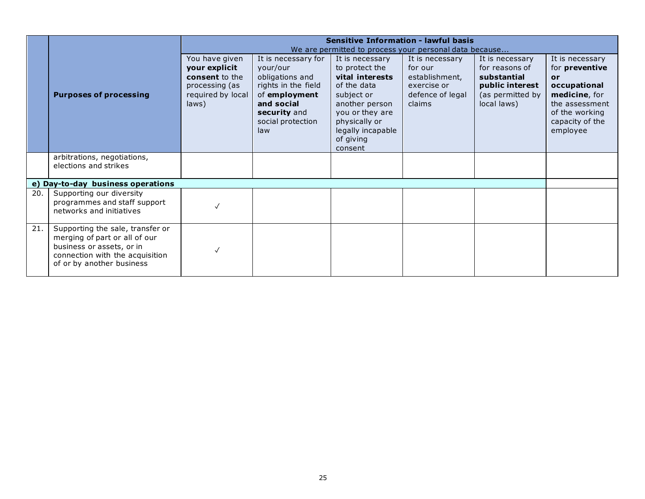|     |                                                                                                                                                                |                                                                                                   |                                                                                                                                                      | <b>Sensitive Information - lawful basis</b><br>We are permitted to process your personal data because                                                                                |                                                                                           |                                                                                                        |                                                                                                                                             |
|-----|----------------------------------------------------------------------------------------------------------------------------------------------------------------|---------------------------------------------------------------------------------------------------|------------------------------------------------------------------------------------------------------------------------------------------------------|--------------------------------------------------------------------------------------------------------------------------------------------------------------------------------------|-------------------------------------------------------------------------------------------|--------------------------------------------------------------------------------------------------------|---------------------------------------------------------------------------------------------------------------------------------------------|
|     | <b>Purposes of processing</b>                                                                                                                                  | You have given<br>your explicit<br>consent to the<br>processing (as<br>required by local<br>laws) | It is necessary for<br>your/our<br>obligations and<br>rights in the field<br>of employment<br>and social<br>security and<br>social protection<br>law | It is necessary<br>to protect the<br>vital interests<br>of the data<br>subject or<br>another person<br>you or they are<br>physically or<br>legally incapable<br>of giving<br>consent | It is necessary<br>for our<br>establishment,<br>exercise or<br>defence of legal<br>claims | It is necessary<br>for reasons of<br>substantial<br>public interest<br>(as permitted by<br>local laws) | It is necessary<br>for preventive<br>or<br>occupational<br>medicine, for<br>the assessment<br>of the working<br>capacity of the<br>employee |
|     | arbitrations, negotiations,<br>elections and strikes                                                                                                           |                                                                                                   |                                                                                                                                                      |                                                                                                                                                                                      |                                                                                           |                                                                                                        |                                                                                                                                             |
|     | e) Day-to-day business operations                                                                                                                              |                                                                                                   |                                                                                                                                                      |                                                                                                                                                                                      |                                                                                           |                                                                                                        |                                                                                                                                             |
| 20. | Supporting our diversity<br>programmes and staff support<br>networks and initiatives                                                                           |                                                                                                   |                                                                                                                                                      |                                                                                                                                                                                      |                                                                                           |                                                                                                        |                                                                                                                                             |
| 21. | Supporting the sale, transfer or<br>merging of part or all of our<br>business or assets, or in<br>connection with the acquisition<br>of or by another business |                                                                                                   |                                                                                                                                                      |                                                                                                                                                                                      |                                                                                           |                                                                                                        |                                                                                                                                             |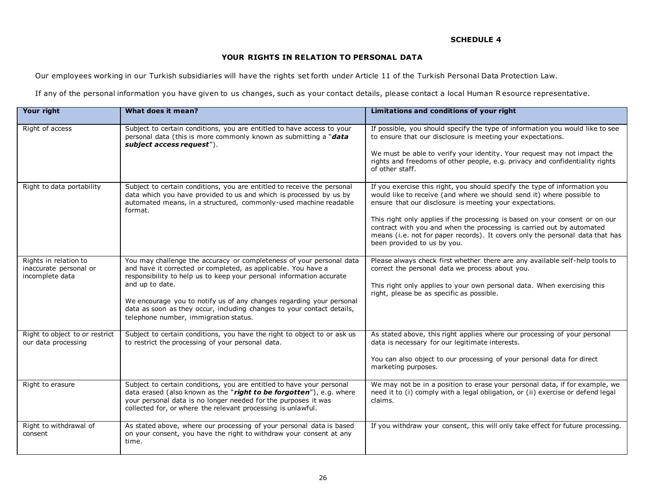# **YOUR RIGHTS IN RELATION TO PERSONAL DATA**

Our employees working in our Turkish subsidiaries will have the rights set forth under Article 11 of the Turkish Personal Data Protection Law.

If any of the personal information you have given to us changes, such as your contact details, please contact a local Human R esource representative.

| Your right                                                         | What does it mean?                                                                                                                                                                                                                                                                                                                                                                                                          | Limitations and conditions of your right                                                                                                                                                                                                                                                                                                                                                                                                                                                 |
|--------------------------------------------------------------------|-----------------------------------------------------------------------------------------------------------------------------------------------------------------------------------------------------------------------------------------------------------------------------------------------------------------------------------------------------------------------------------------------------------------------------|------------------------------------------------------------------------------------------------------------------------------------------------------------------------------------------------------------------------------------------------------------------------------------------------------------------------------------------------------------------------------------------------------------------------------------------------------------------------------------------|
| Right of access                                                    | Subject to certain conditions, you are entitled to have access to your<br>personal data (this is more commonly known as submitting a "data<br>subject access request").                                                                                                                                                                                                                                                     | If possible, you should specify the type of information you would like to see<br>to ensure that our disclosure is meeting your expectations.<br>We must be able to verify your identity. Your request may not impact the<br>rights and freedoms of other people, e.g. privacy and confidentiality rights<br>of other staff.                                                                                                                                                              |
| Right to data portability                                          | Subject to certain conditions, you are entitled to receive the personal<br>data which you have provided to us and which is processed by us by<br>automated means, in a structured, commonly-used machine readable<br>format.                                                                                                                                                                                                | If you exercise this right, you should specify the type of information you<br>would like to receive (and where we should send it) where possible to<br>ensure that our disclosure is meeting your expectations.<br>This right only applies if the processing is based on your consent or on our<br>contract with you and when the processing is carried out by automated<br>means (i.e. not for paper records). It covers only the personal data that has<br>been provided to us by you. |
| Rights in relation to<br>inaccurate personal or<br>incomplete data | You may challenge the accuracy or completeness of your personal data<br>and have it corrected or completed, as applicable. You have a<br>responsibility to help us to keep your personal information accurate<br>and up to date.<br>We encourage you to notify us of any changes regarding your personal<br>data as soon as they occur, including changes to your contact details,<br>telephone number, immigration status. | Please always check first whether there are any available self-help tools to<br>correct the personal data we process about you.<br>This right only applies to your own personal data. When exercising this<br>right, please be as specific as possible.                                                                                                                                                                                                                                  |
| Right to object to or restrict<br>our data processing              | Subject to certain conditions, you have the right to object to or ask us<br>to restrict the processing of your personal data.                                                                                                                                                                                                                                                                                               | As stated above, this right applies where our processing of your personal<br>data is necessary for our legitimate interests.<br>You can also object to our processing of your personal data for direct<br>marketing purposes.                                                                                                                                                                                                                                                            |
| Right to erasure                                                   | Subject to certain conditions, you are entitled to have your personal<br>data erased (also known as the "right to be forgotten"), e.g. where<br>your personal data is no longer needed for the purposes it was<br>collected for, or where the relevant processing is unlawful.                                                                                                                                              | We may not be in a position to erase your personal data, if for example, we<br>need it to (i) comply with a legal obligation, or (ii) exercise or defend legal<br>claims.                                                                                                                                                                                                                                                                                                                |
| Right to withdrawal of<br>consent                                  | As stated above, where our processing of your personal data is based<br>on your consent, you have the right to withdraw your consent at any<br>time.                                                                                                                                                                                                                                                                        | If you withdraw your consent, this will only take effect for future processing.                                                                                                                                                                                                                                                                                                                                                                                                          |